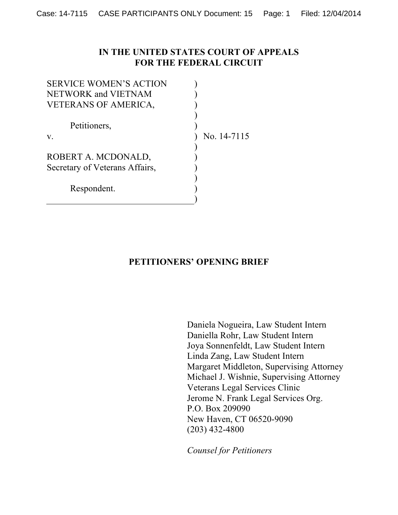### **IN THE UNITED STATES COURT OF APPEALS FOR THE FEDERAL CIRCUIT**

| <b>SERVICE WOMEN'S ACTION</b>  |             |
|--------------------------------|-------------|
| NETWORK and VIETNAM            |             |
| <b>VETERANS OF AMERICA,</b>    |             |
|                                |             |
| Petitioners,                   |             |
| V.                             | No. 14-7115 |
|                                |             |
| ROBERT A. MCDONALD,            |             |
| Secretary of Veterans Affairs, |             |
|                                |             |
| Respondent.                    |             |
|                                |             |

## **PETITIONERS' OPENING BRIEF**

Daniela Nogueira, Law Student Intern Daniella Rohr, Law Student Intern Joya Sonnenfeldt, Law Student Intern Linda Zang, Law Student Intern Margaret Middleton, Supervising Attorney Michael J. Wishnie, Supervising Attorney Veterans Legal Services Clinic Jerome N. Frank Legal Services Org. P.O. Box 209090 New Haven, CT 06520-9090 (203) 432-4800

*Counsel for Petitioners*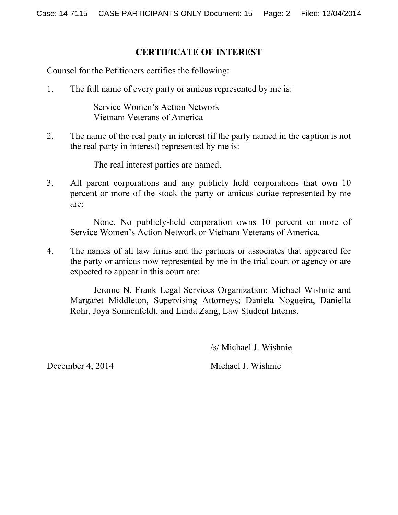### **CERTIFICATE OF INTEREST**

Counsel for the Petitioners certifies the following:

1. The full name of every party or amicus represented by me is:

Service Women's Action Network Vietnam Veterans of America

2. The name of the real party in interest (if the party named in the caption is not the real party in interest) represented by me is:

The real interest parties are named.

3. All parent corporations and any publicly held corporations that own 10 percent or more of the stock the party or amicus curiae represented by me are:

None. No publicly-held corporation owns 10 percent or more of Service Women's Action Network or Vietnam Veterans of America.

4. The names of all law firms and the partners or associates that appeared for the party or amicus now represented by me in the trial court or agency or are expected to appear in this court are:

Jerome N. Frank Legal Services Organization: Michael Wishnie and Margaret Middleton, Supervising Attorneys; Daniela Nogueira, Daniella Rohr, Joya Sonnenfeldt, and Linda Zang, Law Student Interns.

/s/ Michael J. Wishnie

December 4, 2014 Michael J. Wishnie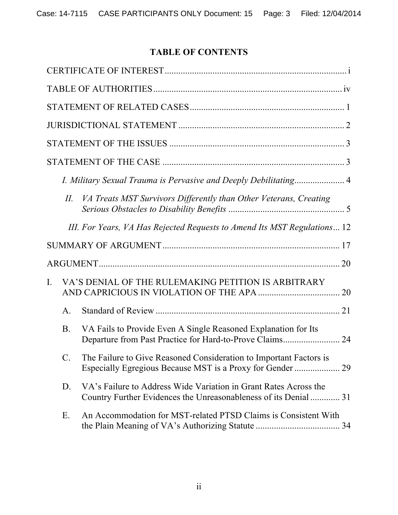# **TABLE OF CONTENTS**

|          | Ш.        | VA Treats MST Survivors Differently than Other Veterans, Creating                                                                    |  |
|----------|-----------|--------------------------------------------------------------------------------------------------------------------------------------|--|
|          |           | III. For Years, VA Has Rejected Requests to Amend Its MST Regulations 12                                                             |  |
|          |           |                                                                                                                                      |  |
|          |           |                                                                                                                                      |  |
| $\rm{L}$ |           | VA'S DENIAL OF THE RULEMAKING PETITION IS ARBITRARY                                                                                  |  |
|          | A.        |                                                                                                                                      |  |
|          | <b>B.</b> |                                                                                                                                      |  |
|          |           | VA Fails to Provide Even A Single Reasoned Explanation for Its<br>Departure from Past Practice for Hard-to-Prove Claims 24           |  |
|          |           | The Failure to Give Reasoned Consideration to Important Factors is                                                                   |  |
|          | D.        | VA's Failure to Address Wide Variation in Grant Rates Across the<br>Country Further Evidences the Unreasonableness of its Denial  31 |  |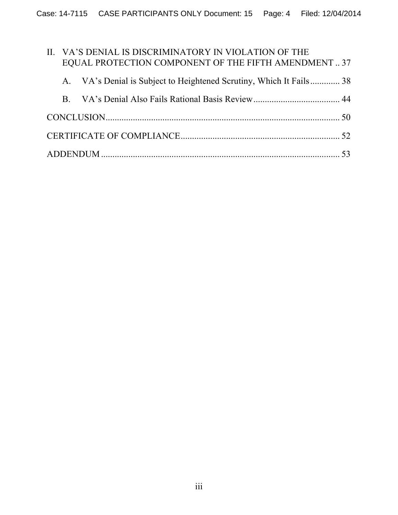|    | II. VA'S DENIAL IS DISCRIMINATORY IN VIOLATION OF THE               |  |
|----|---------------------------------------------------------------------|--|
|    | EQUAL PROTECTION COMPONENT OF THE FIFTH AMENDMENT37                 |  |
|    | A. VA's Denial is Subject to Heightened Scrutiny, Which It Fails 38 |  |
| B. |                                                                     |  |
|    |                                                                     |  |
|    |                                                                     |  |
|    |                                                                     |  |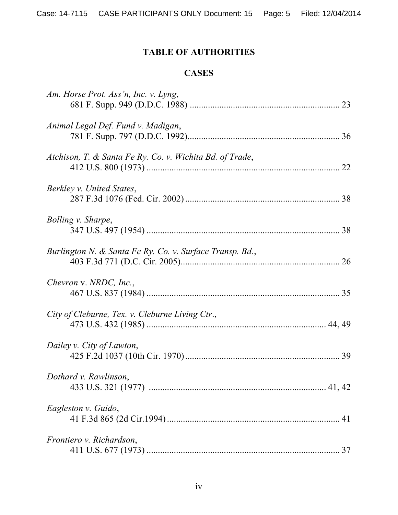# **TABLE OF AUTHORITIES**

## **CASES**

| Am. Horse Prot. Ass'n, Inc. v. Lyng,                     |    |
|----------------------------------------------------------|----|
| Animal Legal Def. Fund v. Madigan,                       |    |
| Atchison, T. & Santa Fe Ry. Co. v. Wichita Bd. of Trade, | 22 |
| Berkley v. United States,                                |    |
| Bolling v. Sharpe,                                       |    |
| Burlington N. & Santa Fe Ry. Co. v. Surface Transp. Bd., |    |
| Chevron v. NRDC, Inc.,                                   |    |
| City of Cleburne, Tex. v. Cleburne Living Ctr.,          |    |
| Dailey v. City of Lawton,                                |    |
| Dothard v. Rawlinson,                                    |    |
| Eagleston v. Guido,                                      |    |
| Frontiero v. Richardson,                                 |    |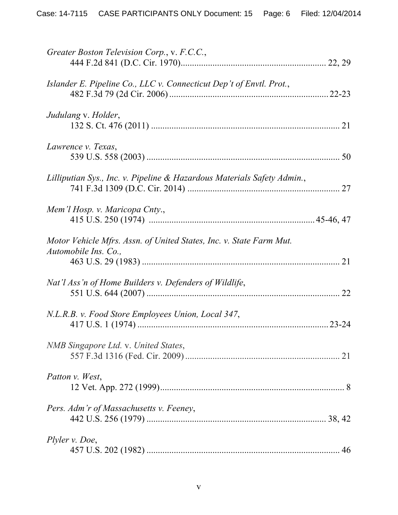| Greater Boston Television Corp., v. F.C.C.,                                                 |  |
|---------------------------------------------------------------------------------------------|--|
| Islander E. Pipeline Co., LLC v. Connecticut Dep't of Envtl. Prot.,                         |  |
| Judulang v. Holder,                                                                         |  |
| Lawrence v. Texas,                                                                          |  |
| Lilliputian Sys., Inc. v. Pipeline & Hazardous Materials Safety Admin.,                     |  |
| Mem'l Hosp. v. Maricopa Cnty.,                                                              |  |
| Motor Vehicle Mfrs. Assn. of United States, Inc. v. State Farm Mut.<br>Automobile Ins. Co., |  |
| Nat'l Ass'n of Home Builders v. Defenders of Wildlife,                                      |  |
| N.L.R.B. v. Food Store Employees Union, Local 347,                                          |  |
| NMB Singapore Ltd. v. United States,                                                        |  |
| Patton v. West,                                                                             |  |
| Pers. Adm'r of Massachusetts v. Feeney,                                                     |  |
| Plyler v. Doe,                                                                              |  |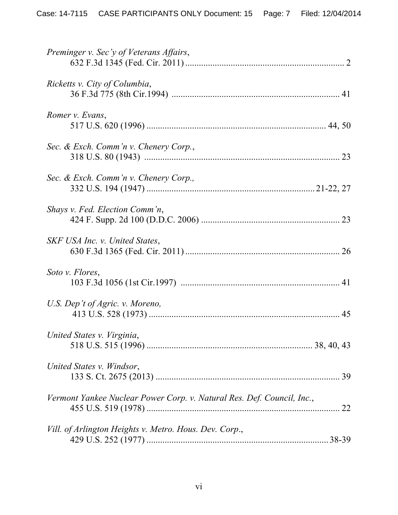| Preminger v. Sec'y of Veterans Affairs,                                |  |
|------------------------------------------------------------------------|--|
| Ricketts v. City of Columbia,                                          |  |
| Romer v. Evans,                                                        |  |
| Sec. & Exch. Comm'n v. Chenery Corp.,                                  |  |
| Sec. & Exch. Comm'n v. Chenery Corp.,                                  |  |
| Shays v. Fed. Election Comm'n,                                         |  |
| SKF USA Inc. v. United States,                                         |  |
| Soto v. Flores,                                                        |  |
| U.S. Dep't of Agric. v. Moreno,                                        |  |
| United States v. Virginia,                                             |  |
| United States v. Windsor,                                              |  |
| Vermont Yankee Nuclear Power Corp. v. Natural Res. Def. Council, Inc., |  |
| Vill. of Arlington Heights v. Metro. Hous. Dev. Corp.,                 |  |
|                                                                        |  |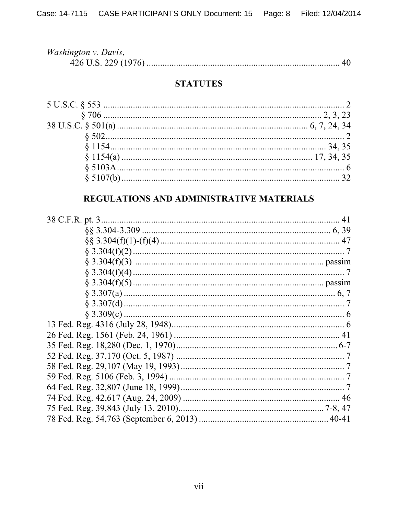| <i>Washington v. Davis,</i> |  |
|-----------------------------|--|
|                             |  |

## **STATUTES**

## REGULATIONS AND ADMINISTRATIVE MATERIALS

| 41 |
|----|
|    |
|    |
|    |
|    |
|    |
|    |
|    |
|    |
|    |
|    |
|    |
|    |
|    |
|    |
|    |
|    |
|    |
|    |
|    |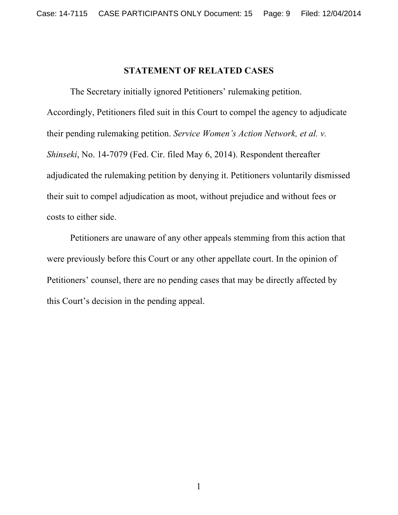### **STATEMENT OF RELATED CASES**

The Secretary initially ignored Petitioners' rulemaking petition. Accordingly, Petitioners filed suit in this Court to compel the agency to adjudicate their pending rulemaking petition. *Service Women's Action Network, et al. v. Shinseki*, No. 14-7079 (Fed. Cir. filed May 6, 2014). Respondent thereafter adjudicated the rulemaking petition by denying it. Petitioners voluntarily dismissed their suit to compel adjudication as moot, without prejudice and without fees or costs to either side.

Petitioners are unaware of any other appeals stemming from this action that were previously before this Court or any other appellate court. In the opinion of Petitioners' counsel, there are no pending cases that may be directly affected by this Court's decision in the pending appeal.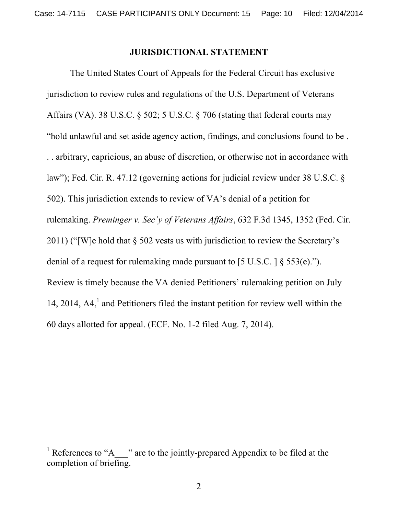### **JURISDICTIONAL STATEMENT**

The United States Court of Appeals for the Federal Circuit has exclusive jurisdiction to review rules and regulations of the U.S. Department of Veterans Affairs (VA). 38 U.S.C. § 502; 5 U.S.C. § 706 (stating that federal courts may "hold unlawful and set aside agency action, findings, and conclusions found to be . . . arbitrary, capricious, an abuse of discretion, or otherwise not in accordance with law"); Fed. Cir. R. 47.12 (governing actions for judicial review under 38 U.S.C. § 502). This jurisdiction extends to review of VA's denial of a petition for rulemaking. *Preminger v. Sec'y of Veterans Affairs*, 632 F.3d 1345, 1352 (Fed. Cir. 2011) ("[W]e hold that § 502 vests us with jurisdiction to review the Secretary's denial of a request for rulemaking made pursuant to [5 U.S.C. ] § 553(e)."). Review is timely because the VA denied Petitioners' rulemaking petition on July 14, 2014,  $AA<sub>1</sub><sup>1</sup>$  and Petitioners filed the instant petition for review well within the 60 days allotted for appeal. (ECF. No. 1-2 filed Aug. 7, 2014).

!!!!!!!!!!!!!!!!!!!!!!!!!!!!!!!!!!!!!!!! !!!!!!!

<sup>&</sup>lt;sup>1</sup> References to "A  $\blacksquare$ " are to the jointly-prepared Appendix to be filed at the completion of briefing.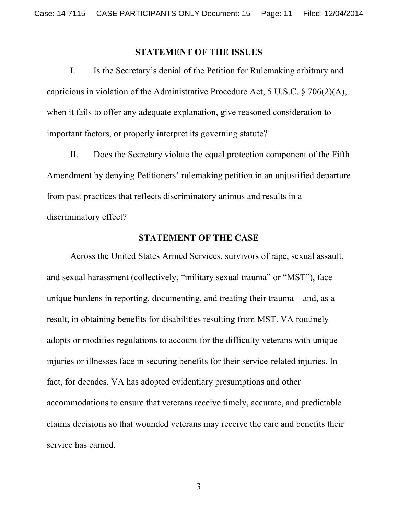#### **STATEMENT OF THE ISSUES**

I. Is the Secretary's denial of the Petition for Rulemaking arbitrary and capricious in violation of the Administrative Procedure Act, 5 U.S.C. § 706(2)(A), when it fails to offer any adequate explanation, give reasoned consideration to important factors, or properly interpret its governing statute?

II. Does the Secretary violate the equal protection component of the Fifth Amendment by denying Petitioners' rulemaking petition in an unjustified departure from past practices that reflects discriminatory animus and results in a discriminatory effect?

### **STATEMENT OF THE CASE**

Across the United States Armed Services, survivors of rape, sexual assault, and sexual harassment (collectively, "military sexual trauma" or "MST"), face unique burdens in reporting, documenting, and treating their trauma—and, as a result, in obtaining benefits for disabilities resulting from MST. VA routinely adopts or modifies regulations to account for the difficulty veterans with unique injuries or illnesses face in securing benefits for their service-related injuries. In fact, for decades, VA has adopted evidentiary presumptions and other accommodations to ensure that veterans receive timely, accurate, and predictable claims decisions so that wounded veterans may receive the care and benefits their service has earned.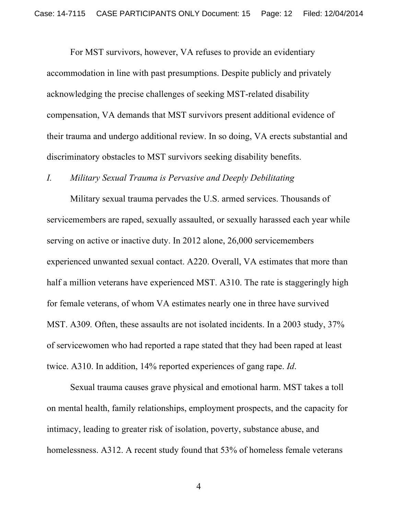For MST survivors, however, VA refuses to provide an evidentiary accommodation in line with past presumptions. Despite publicly and privately acknowledging the precise challenges of seeking MST-related disability compensation, VA demands that MST survivors present additional evidence of their trauma and undergo additional review. In so doing, VA erects substantial and discriminatory obstacles to MST survivors seeking disability benefits.

### *I. Military Sexual Trauma is Pervasive and Deeply Debilitating*

Military sexual trauma pervades the U.S. armed services. Thousands of servicemembers are raped, sexually assaulted, or sexually harassed each year while serving on active or inactive duty. In 2012 alone, 26,000 servicemembers experienced unwanted sexual contact. A220. Overall, VA estimates that more than half a million veterans have experienced MST. A310. The rate is staggeringly high for female veterans, of whom VA estimates nearly one in three have survived MST. A309*.* Often, these assaults are not isolated incidents. In a 2003 study, 37% of servicewomen who had reported a rape stated that they had been raped at least twice. A310. In addition, 14% reported experiences of gang rape. *Id*.

Sexual trauma causes grave physical and emotional harm. MST takes a toll on mental health, family relationships, employment prospects, and the capacity for intimacy, leading to greater risk of isolation, poverty, substance abuse, and homelessness. A312. A recent study found that 53% of homeless female veterans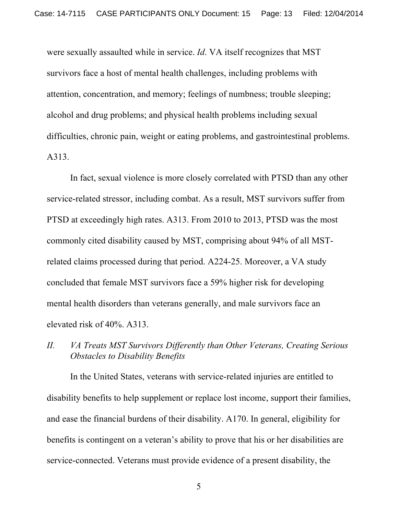were sexually assaulted while in service. *Id*. VA itself recognizes that MST survivors face a host of mental health challenges, including problems with attention, concentration, and memory; feelings of numbness; trouble sleeping; alcohol and drug problems; and physical health problems including sexual difficulties, chronic pain, weight or eating problems, and gastrointestinal problems. A313.

In fact, sexual violence is more closely correlated with PTSD than any other service-related stressor, including combat. As a result, MST survivors suffer from PTSD at exceedingly high rates. A313. From 2010 to 2013, PTSD was the most commonly cited disability caused by MST, comprising about 94% of all MSTrelated claims processed during that period. A224-25. Moreover, a VA study concluded that female MST survivors face a 59% higher risk for developing mental health disorders than veterans generally, and male survivors face an elevated risk of 40%. A313.

# *II. VA Treats MST Survivors Differently than Other Veterans, Creating Serious Obstacles to Disability Benefits*

In the United States, veterans with service-related injuries are entitled to disability benefits to help supplement or replace lost income, support their families, and ease the financial burdens of their disability. A170. In general, eligibility for benefits is contingent on a veteran's ability to prove that his or her disabilities are service-connected. Veterans must provide evidence of a present disability, the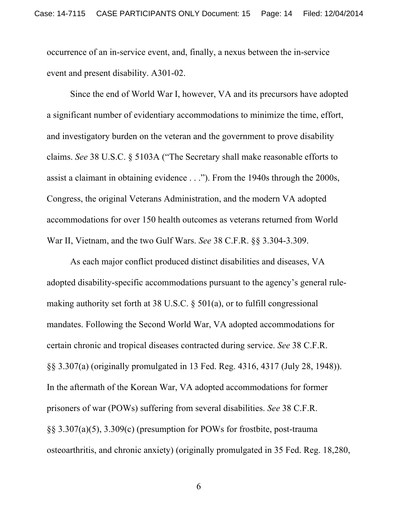occurrence of an in-service event, and, finally, a nexus between the in-service event and present disability. A301-02.

Since the end of World War I, however, VA and its precursors have adopted a significant number of evidentiary accommodations to minimize the time, effort, and investigatory burden on the veteran and the government to prove disability claims. *See* 38 U.S.C. § 5103A ("The Secretary shall make reasonable efforts to assist a claimant in obtaining evidence . . ."). From the 1940s through the 2000s, Congress, the original Veterans Administration, and the modern VA adopted accommodations for over 150 health outcomes as veterans returned from World War II, Vietnam, and the two Gulf Wars. *See* 38 C.F.R. §§ 3.304-3.309.

As each major conflict produced distinct disabilities and diseases, VA adopted disability-specific accommodations pursuant to the agency's general rulemaking authority set forth at 38 U.S.C. § 501(a), or to fulfill congressional mandates. Following the Second World War, VA adopted accommodations for certain chronic and tropical diseases contracted during service. *See* 38 C.F.R. §§ 3.307(a) (originally promulgated in 13 Fed. Reg. 4316, 4317 (July 28, 1948)). In the aftermath of the Korean War, VA adopted accommodations for former prisoners of war (POWs) suffering from several disabilities. *See* 38 C.F.R. §§ 3.307(a)(5), 3.309(c) (presumption for POWs for frostbite, post-trauma osteoarthritis, and chronic anxiety) (originally promulgated in 35 Fed. Reg. 18,280,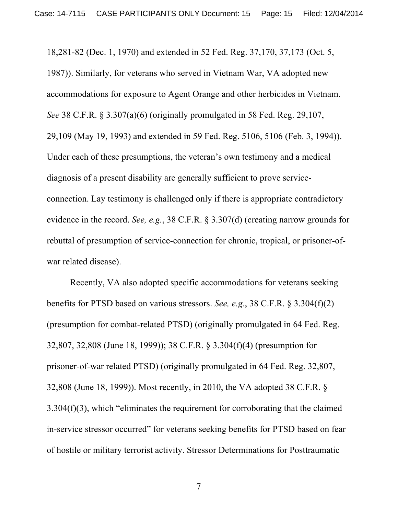18,281-82 (Dec. 1, 1970) and extended in 52 Fed. Reg. 37,170, 37,173 (Oct. 5, 1987)). Similarly, for veterans who served in Vietnam War, VA adopted new accommodations for exposure to Agent Orange and other herbicides in Vietnam. *See* 38 C.F.R. § 3.307(a)(6) (originally promulgated in 58 Fed. Reg. 29,107, 29,109 (May 19, 1993) and extended in 59 Fed. Reg. 5106, 5106 (Feb. 3, 1994)). Under each of these presumptions, the veteran's own testimony and a medical diagnosis of a present disability are generally sufficient to prove serviceconnection. Lay testimony is challenged only if there is appropriate contradictory evidence in the record. *See, e.g.*, 38 C.F.R. § 3.307(d) (creating narrow grounds for rebuttal of presumption of service-connection for chronic, tropical, or prisoner-ofwar related disease).

Recently, VA also adopted specific accommodations for veterans seeking benefits for PTSD based on various stressors. *See, e.g.*, 38 C.F.R. § 3.304(f)(2) (presumption for combat-related PTSD) (originally promulgated in 64 Fed. Reg. 32,807, 32,808 (June 18, 1999)); 38 C.F.R. § 3.304(f)(4) (presumption for prisoner-of-war related PTSD) (originally promulgated in 64 Fed. Reg. 32,807, 32,808 (June 18, 1999)). Most recently, in 2010, the VA adopted 38 C.F.R. § 3.304(f)(3), which "eliminates the requirement for corroborating that the claimed in-service stressor occurred" for veterans seeking benefits for PTSD based on fear of hostile or military terrorist activity. Stressor Determinations for Posttraumatic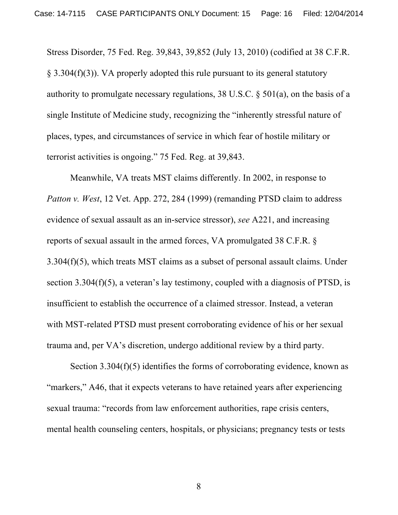Stress Disorder, 75 Fed. Reg. 39,843, 39,852 (July 13, 2010) (codified at 38 C.F.R. § 3.304(f)(3)). VA properly adopted this rule pursuant to its general statutory authority to promulgate necessary regulations, 38 U.S.C. § 501(a), on the basis of a single Institute of Medicine study, recognizing the "inherently stressful nature of places, types, and circumstances of service in which fear of hostile military or terrorist activities is ongoing." 75 Fed. Reg. at 39,843.

Meanwhile, VA treats MST claims differently. In 2002, in response to *Patton v. West*, 12 Vet. App. 272, 284 (1999) (remanding PTSD claim to address evidence of sexual assault as an in-service stressor), *see* A221, and increasing reports of sexual assault in the armed forces, VA promulgated 38 C.F.R. § 3.304(f)(5), which treats MST claims as a subset of personal assault claims. Under section 3.304(f)(5), a veteran's lay testimony, coupled with a diagnosis of PTSD, is insufficient to establish the occurrence of a claimed stressor. Instead, a veteran with MST-related PTSD must present corroborating evidence of his or her sexual trauma and, per VA's discretion, undergo additional review by a third party.

Section 3.304(f)(5) identifies the forms of corroborating evidence, known as "markers," A46, that it expects veterans to have retained years after experiencing sexual trauma: "records from law enforcement authorities, rape crisis centers, mental health counseling centers, hospitals, or physicians; pregnancy tests or tests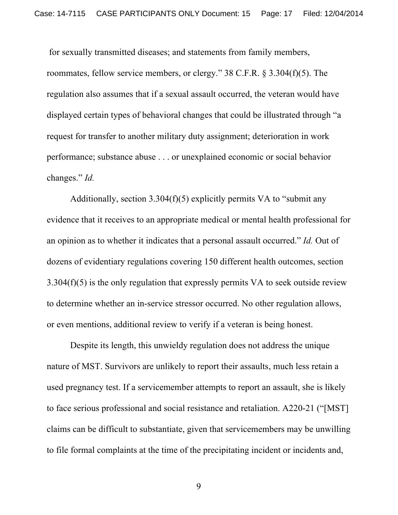for sexually transmitted diseases; and statements from family members, roommates, fellow service members, or clergy." 38 C.F.R. § 3.304(f)(5). The regulation also assumes that if a sexual assault occurred, the veteran would have displayed certain types of behavioral changes that could be illustrated through "a request for transfer to another military duty assignment; deterioration in work performance; substance abuse . . . or unexplained economic or social behavior changes." *Id.*

Additionally, section  $3.304(f)(5)$  explicitly permits VA to "submit any evidence that it receives to an appropriate medical or mental health professional for an opinion as to whether it indicates that a personal assault occurred." *Id.* Out of dozens of evidentiary regulations covering 150 different health outcomes, section 3.304(f)(5) is the only regulation that expressly permits VA to seek outside review to determine whether an in-service stressor occurred. No other regulation allows, or even mentions, additional review to verify if a veteran is being honest.

Despite its length, this unwieldy regulation does not address the unique nature of MST. Survivors are unlikely to report their assaults, much less retain a used pregnancy test. If a servicemember attempts to report an assault, she is likely to face serious professional and social resistance and retaliation. A220-21 ("[MST] claims can be difficult to substantiate, given that servicemembers may be unwilling to file formal complaints at the time of the precipitating incident or incidents and,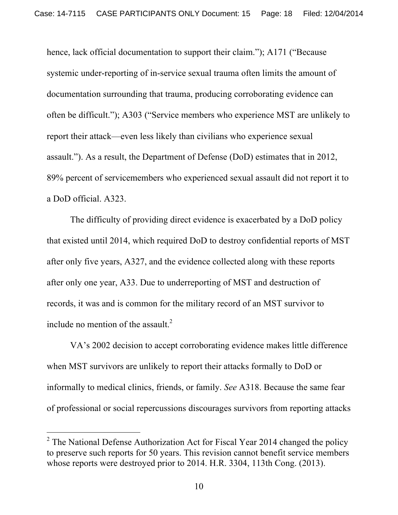hence, lack official documentation to support their claim."); A171 ("Because systemic under-reporting of in-service sexual trauma often limits the amount of documentation surrounding that trauma, producing corroborating evidence can often be difficult."); A303 ("Service members who experience MST are unlikely to report their attack—even less likely than civilians who experience sexual assault."). As a result, the Department of Defense (DoD) estimates that in 2012, 89% percent of servicemembers who experienced sexual assault did not report it to a DoD official. A323.

The difficulty of providing direct evidence is exacerbated by a DoD policy that existed until 2014, which required DoD to destroy confidential reports of MST after only five years, A327, and the evidence collected along with these reports after only one year, A33. Due to underreporting of MST and destruction of records, it was and is common for the military record of an MST survivor to include no mention of the assault. $^{2}$ 

VA's 2002 decision to accept corroborating evidence makes little difference when MST survivors are unlikely to report their attacks formally to DoD or informally to medical clinics, friends, or family. *See* A318. Because the same fear of professional or social repercussions discourages survivors from reporting attacks

!!!!!!!!!!!!!!!!!!!!!!!!!!!!!!!!!!!!!!!! !!!!!!!

 $2$  The National Defense Authorization Act for Fiscal Year 2014 changed the policy to preserve such reports for 50 years. This revision cannot benefit service members whose reports were destroyed prior to 2014. H.R. 3304, 113th Cong. (2013).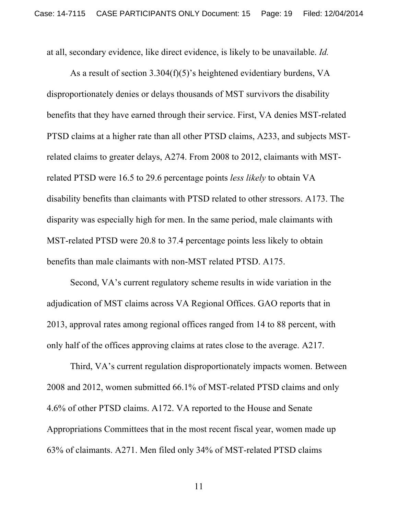at all, secondary evidence, like direct evidence, is likely to be unavailable. *Id.* 

As a result of section 3.304(f)(5)'s heightened evidentiary burdens, VA disproportionately denies or delays thousands of MST survivors the disability benefits that they have earned through their service. First, VA denies MST-related PTSD claims at a higher rate than all other PTSD claims, A233, and subjects MSTrelated claims to greater delays, A274. From 2008 to 2012, claimants with MSTrelated PTSD were 16.5 to 29.6 percentage points *less likely* to obtain VA disability benefits than claimants with PTSD related to other stressors. A173. The disparity was especially high for men. In the same period, male claimants with MST-related PTSD were 20.8 to 37.4 percentage points less likely to obtain benefits than male claimants with non-MST related PTSD. A175.

Second, VA's current regulatory scheme results in wide variation in the adjudication of MST claims across VA Regional Offices. GAO reports that in 2013, approval rates among regional offices ranged from 14 to 88 percent, with only half of the offices approving claims at rates close to the average. A217.

Third, VA's current regulation disproportionately impacts women. Between 2008 and 2012, women submitted 66.1% of MST-related PTSD claims and only 4.6% of other PTSD claims. A172. VA reported to the House and Senate Appropriations Committees that in the most recent fiscal year, women made up 63% of claimants. A271. Men filed only 34% of MST-related PTSD claims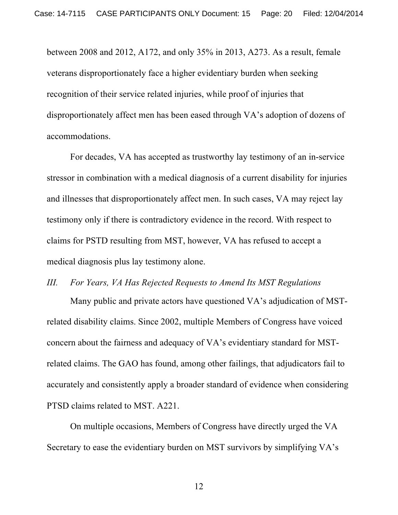between 2008 and 2012, A172, and only 35% in 2013, A273. As a result, female veterans disproportionately face a higher evidentiary burden when seeking recognition of their service related injuries, while proof of injuries that disproportionately affect men has been eased through VA's adoption of dozens of accommodations.

For decades, VA has accepted as trustworthy lay testimony of an in-service stressor in combination with a medical diagnosis of a current disability for injuries and illnesses that disproportionately affect men. In such cases, VA may reject lay testimony only if there is contradictory evidence in the record. With respect to claims for PSTD resulting from MST, however, VA has refused to accept a medical diagnosis plus lay testimony alone.

#### *III. For Years, VA Has Rejected Requests to Amend Its MST Regulations*

Many public and private actors have questioned VA's adjudication of MSTrelated disability claims. Since 2002, multiple Members of Congress have voiced concern about the fairness and adequacy of VA's evidentiary standard for MSTrelated claims. The GAO has found, among other failings, that adjudicators fail to accurately and consistently apply a broader standard of evidence when considering PTSD claims related to MST. A221.

On multiple occasions, Members of Congress have directly urged the VA Secretary to ease the evidentiary burden on MST survivors by simplifying VA's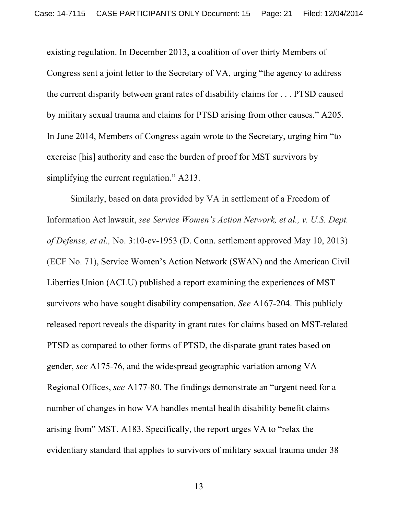existing regulation. In December 2013, a coalition of over thirty Members of Congress sent a joint letter to the Secretary of VA, urging "the agency to address the current disparity between grant rates of disability claims for . . . PTSD caused by military sexual trauma and claims for PTSD arising from other causes." A205. In June 2014, Members of Congress again wrote to the Secretary, urging him "to exercise [his] authority and ease the burden of proof for MST survivors by simplifying the current regulation." A213.

Similarly, based on data provided by VA in settlement of a Freedom of Information Act lawsuit, *see Service Women's Action Network, et al., v. U.S. Dept. of Defense, et al.,* No. 3:10-cv-1953 (D. Conn. settlement approved May 10, 2013) (ECF No. 71), Service Women's Action Network (SWAN) and the American Civil Liberties Union (ACLU) published a report examining the experiences of MST survivors who have sought disability compensation. *See* A167-204. This publicly released report reveals the disparity in grant rates for claims based on MST-related PTSD as compared to other forms of PTSD, the disparate grant rates based on gender, *see* A175-76, and the widespread geographic variation among VA Regional Offices, *see* A177-80. The findings demonstrate an "urgent need for a number of changes in how VA handles mental health disability benefit claims arising from" MST. A183. Specifically, the report urges VA to "relax the evidentiary standard that applies to survivors of military sexual trauma under 38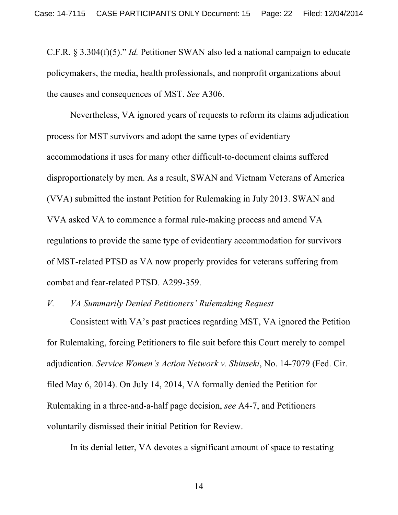C.F.R. § 3.304(f)(5)." *Id.* Petitioner SWAN also led a national campaign to educate policymakers, the media, health professionals, and nonprofit organizations about the causes and consequences of MST. *See* A306.

Nevertheless, VA ignored years of requests to reform its claims adjudication process for MST survivors and adopt the same types of evidentiary accommodations it uses for many other difficult-to-document claims suffered disproportionately by men. As a result, SWAN and Vietnam Veterans of America (VVA) submitted the instant Petition for Rulemaking in July 2013. SWAN and VVA asked VA to commence a formal rule-making process and amend VA regulations to provide the same type of evidentiary accommodation for survivors of MST-related PTSD as VA now properly provides for veterans suffering from combat and fear-related PTSD. A299-359.

#### *V. VA Summarily Denied Petitioners' Rulemaking Request*

Consistent with VA's past practices regarding MST, VA ignored the Petition for Rulemaking, forcing Petitioners to file suit before this Court merely to compel adjudication. *Service Women's Action Network v. Shinseki*, No. 14-7079 (Fed. Cir. filed May 6, 2014). On July 14, 2014, VA formally denied the Petition for Rulemaking in a three-and-a-half page decision, *see* A4-7, and Petitioners voluntarily dismissed their initial Petition for Review.

In its denial letter, VA devotes a significant amount of space to restating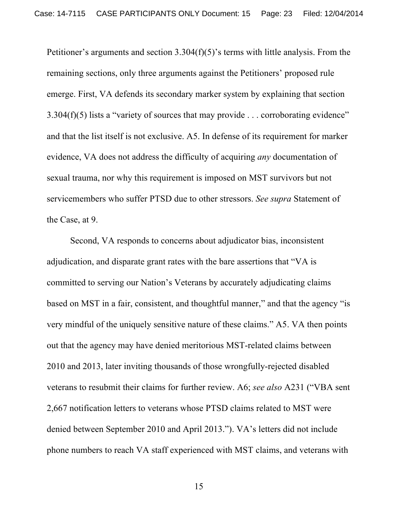Petitioner's arguments and section 3.304(f)(5)'s terms with little analysis. From the remaining sections, only three arguments against the Petitioners' proposed rule emerge. First, VA defends its secondary marker system by explaining that section 3.304(f)(5) lists a "variety of sources that may provide . . . corroborating evidence" and that the list itself is not exclusive. A5. In defense of its requirement for marker evidence, VA does not address the difficulty of acquiring *any* documentation of sexual trauma, nor why this requirement is imposed on MST survivors but not servicemembers who suffer PTSD due to other stressors. *See supra* Statement of the Case, at 9.

Second, VA responds to concerns about adjudicator bias, inconsistent adjudication, and disparate grant rates with the bare assertions that "VA is committed to serving our Nation's Veterans by accurately adjudicating claims based on MST in a fair, consistent, and thoughtful manner," and that the agency "is very mindful of the uniquely sensitive nature of these claims." A5. VA then points out that the agency may have denied meritorious MST-related claims between 2010 and 2013, later inviting thousands of those wrongfully-rejected disabled veterans to resubmit their claims for further review. A6; *see also* A231 ("VBA sent 2,667 notification letters to veterans whose PTSD claims related to MST were denied between September 2010 and April 2013."). VA's letters did not include phone numbers to reach VA staff experienced with MST claims, and veterans with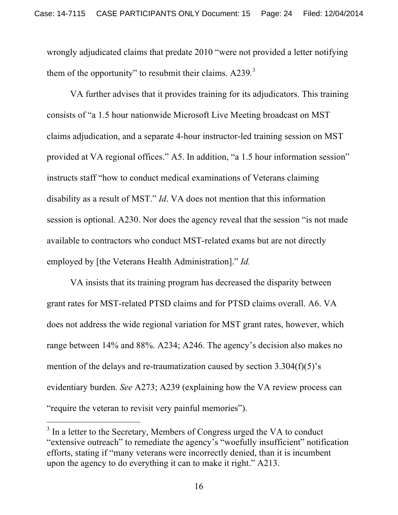wrongly adjudicated claims that predate 2010 "were not provided a letter notifying them of the opportunity" to resubmit their claims. A239*.* 3

VA further advises that it provides training for its adjudicators. This training consists of "a 1.5 hour nationwide Microsoft Live Meeting broadcast on MST claims adjudication, and a separate 4-hour instructor-led training session on MST provided at VA regional offices." A5. In addition, "a 1.5 hour information session" instructs staff "how to conduct medical examinations of Veterans claiming disability as a result of MST." *Id*. VA does not mention that this information session is optional. A230. Nor does the agency reveal that the session "is not made available to contractors who conduct MST-related exams but are not directly employed by [the Veterans Health Administration]." *Id.*

VA insists that its training program has decreased the disparity between grant rates for MST-related PTSD claims and for PTSD claims overall. A6. VA does not address the wide regional variation for MST grant rates, however, which range between 14% and 88%. A234; A246. The agency's decision also makes no mention of the delays and re-traumatization caused by section 3.304(f)(5)'s evidentiary burden. *See* A273; A239 (explaining how the VA review process can "require the veteran to revisit very painful memories").

!!!!!!!!!!!!!!!!!!!!!!!!!!!!!!!!!!!!!!!! !!!!!!!

<sup>&</sup>lt;sup>3</sup> In a letter to the Secretary, Members of Congress urged the VA to conduct "extensive outreach" to remediate the agency's "woefully insufficient" notification efforts, stating if "many veterans were incorrectly denied, than it is incumbent upon the agency to do everything it can to make it right." A213.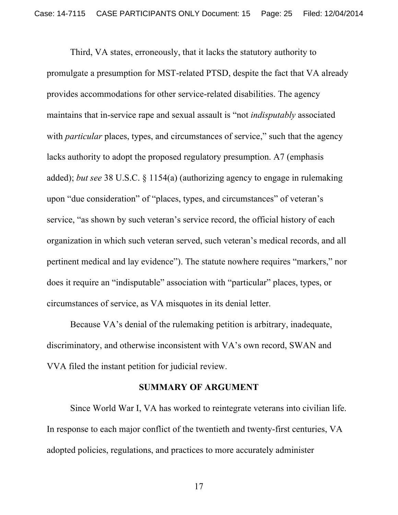Third, VA states, erroneously, that it lacks the statutory authority to promulgate a presumption for MST-related PTSD, despite the fact that VA already provides accommodations for other service-related disabilities. The agency maintains that in-service rape and sexual assault is "not *indisputably* associated with *particular* places, types, and circumstances of service," such that the agency lacks authority to adopt the proposed regulatory presumption. A7 (emphasis added); *but see* 38 U.S.C. § 1154(a) (authorizing agency to engage in rulemaking upon "due consideration" of "places, types, and circumstances" of veteran's service, "as shown by such veteran's service record, the official history of each organization in which such veteran served, such veteran's medical records, and all pertinent medical and lay evidence"). The statute nowhere requires "markers," nor does it require an "indisputable" association with "particular" places, types, or circumstances of service, as VA misquotes in its denial letter.

Because VA's denial of the rulemaking petition is arbitrary, inadequate, discriminatory, and otherwise inconsistent with VA's own record, SWAN and VVA filed the instant petition for judicial review.

#### **SUMMARY OF ARGUMENT**

Since World War I, VA has worked to reintegrate veterans into civilian life. In response to each major conflict of the twentieth and twenty-first centuries, VA adopted policies, regulations, and practices to more accurately administer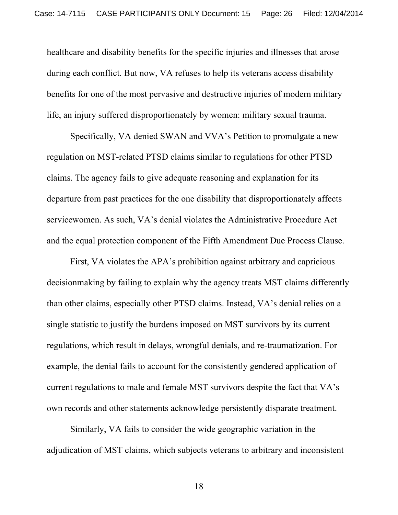healthcare and disability benefits for the specific injuries and illnesses that arose during each conflict. But now, VA refuses to help its veterans access disability benefits for one of the most pervasive and destructive injuries of modern military life, an injury suffered disproportionately by women: military sexual trauma.

Specifically, VA denied SWAN and VVA's Petition to promulgate a new regulation on MST-related PTSD claims similar to regulations for other PTSD claims. The agency fails to give adequate reasoning and explanation for its departure from past practices for the one disability that disproportionately affects servicewomen. As such, VA's denial violates the Administrative Procedure Act and the equal protection component of the Fifth Amendment Due Process Clause.

First, VA violates the APA's prohibition against arbitrary and capricious decisionmaking by failing to explain why the agency treats MST claims differently than other claims, especially other PTSD claims. Instead, VA's denial relies on a single statistic to justify the burdens imposed on MST survivors by its current regulations, which result in delays, wrongful denials, and re-traumatization. For example, the denial fails to account for the consistently gendered application of current regulations to male and female MST survivors despite the fact that VA's own records and other statements acknowledge persistently disparate treatment.

Similarly, VA fails to consider the wide geographic variation in the adjudication of MST claims, which subjects veterans to arbitrary and inconsistent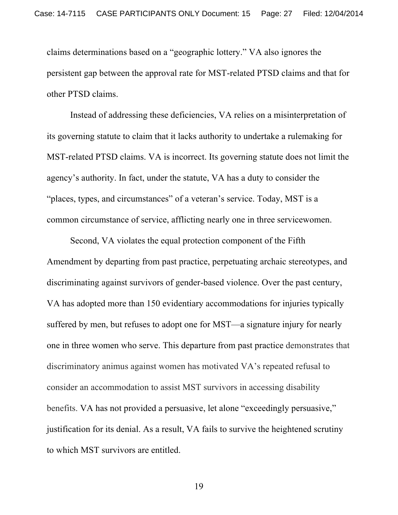claims determinations based on a "geographic lottery." VA also ignores the persistent gap between the approval rate for MST-related PTSD claims and that for other PTSD claims.

Instead of addressing these deficiencies, VA relies on a misinterpretation of its governing statute to claim that it lacks authority to undertake a rulemaking for MST-related PTSD claims. VA is incorrect. Its governing statute does not limit the agency's authority. In fact, under the statute, VA has a duty to consider the "places, types, and circumstances" of a veteran's service. Today, MST is a common circumstance of service, afflicting nearly one in three servicewomen.

Second, VA violates the equal protection component of the Fifth Amendment by departing from past practice, perpetuating archaic stereotypes, and discriminating against survivors of gender-based violence. Over the past century, VA has adopted more than 150 evidentiary accommodations for injuries typically suffered by men, but refuses to adopt one for MST—a signature injury for nearly one in three women who serve. This departure from past practice demonstrates that discriminatory animus against women has motivated VA's repeated refusal to consider an accommodation to assist MST survivors in accessing disability benefits. VA has not provided a persuasive, let alone "exceedingly persuasive," justification for its denial. As a result, VA fails to survive the heightened scrutiny to which MST survivors are entitled.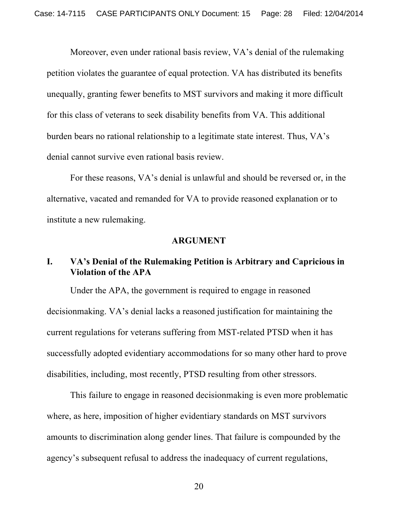Moreover, even under rational basis review, VA's denial of the rulemaking petition violates the guarantee of equal protection. VA has distributed its benefits unequally, granting fewer benefits to MST survivors and making it more difficult for this class of veterans to seek disability benefits from VA. This additional burden bears no rational relationship to a legitimate state interest. Thus, VA's denial cannot survive even rational basis review.

For these reasons, VA's denial is unlawful and should be reversed or, in the alternative, vacated and remanded for VA to provide reasoned explanation or to institute a new rulemaking.

#### **ARGUMENT**

### **I. VA's Denial of the Rulemaking Petition is Arbitrary and Capricious in Violation of the APA**

Under the APA, the government is required to engage in reasoned decisionmaking. VA's denial lacks a reasoned justification for maintaining the current regulations for veterans suffering from MST-related PTSD when it has successfully adopted evidentiary accommodations for so many other hard to prove disabilities, including, most recently, PTSD resulting from other stressors.

This failure to engage in reasoned decisionmaking is even more problematic where, as here, imposition of higher evidentiary standards on MST survivors amounts to discrimination along gender lines. That failure is compounded by the agency's subsequent refusal to address the inadequacy of current regulations,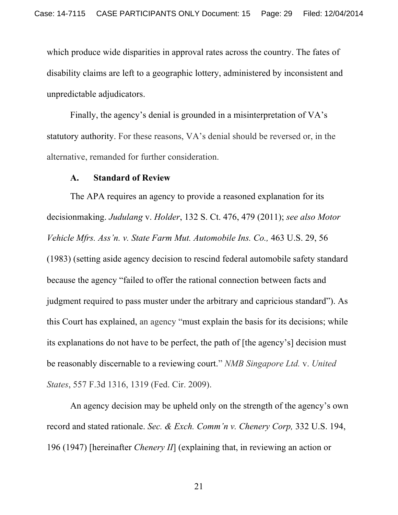which produce wide disparities in approval rates across the country. The fates of disability claims are left to a geographic lottery, administered by inconsistent and unpredictable adjudicators.

Finally, the agency's denial is grounded in a misinterpretation of VA's statutory authority. For these reasons, VA's denial should be reversed or, in the alternative, remanded for further consideration.

#### **A. Standard of Review**

The APA requires an agency to provide a reasoned explanation for its decisionmaking. *Judulang* v. *Holder*, 132 S. Ct. 476, 479 (2011); *see also Motor Vehicle Mfrs. Ass'n. v. State Farm Mut. Automobile Ins. Co.,* 463 U.S. 29, 56 (1983) (setting aside agency decision to rescind federal automobile safety standard because the agency "failed to offer the rational connection between facts and judgment required to pass muster under the arbitrary and capricious standard"). As this Court has explained, an agency "must explain the basis for its decisions; while its explanations do not have to be perfect, the path of [the agency's] decision must be reasonably discernable to a reviewing court." *NMB Singapore Ltd.* v. *United States*, 557 F.3d 1316, 1319 (Fed. Cir. 2009).

An agency decision may be upheld only on the strength of the agency's own record and stated rationale. *Sec. & Exch. Comm'n v. Chenery Corp,* 332 U.S. 194, 196 (1947) [hereinafter *Chenery II*] (explaining that, in reviewing an action or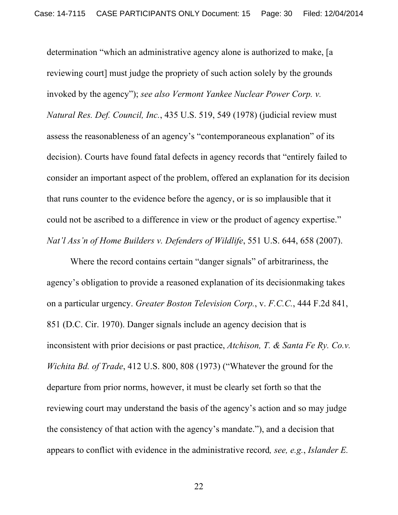determination "which an administrative agency alone is authorized to make, [a reviewing court] must judge the propriety of such action solely by the grounds invoked by the agency"); *see also Vermont Yankee Nuclear Power Corp. v. Natural Res. Def. Council, Inc.*, 435 U.S. 519, 549 (1978) (judicial review must assess the reasonableness of an agency's "contemporaneous explanation" of its decision). Courts have found fatal defects in agency records that "entirely failed to consider an important aspect of the problem, offered an explanation for its decision that runs counter to the evidence before the agency, or is so implausible that it could not be ascribed to a difference in view or the product of agency expertise." *Nat'l Ass'n of Home Builders v. Defenders of Wildlife*, 551 U.S. 644, 658 (2007).

Where the record contains certain "danger signals" of arbitrariness, the agency's obligation to provide a reasoned explanation of its decisionmaking takes on a particular urgency. *Greater Boston Television Corp.*, v. *F.C.C.*, 444 F.2d 841, 851 (D.C. Cir. 1970). Danger signals include an agency decision that is inconsistent with prior decisions or past practice, *Atchison, T. & Santa Fe Ry. Co.v. Wichita Bd. of Trade*, 412 U.S. 800, 808 (1973) ("Whatever the ground for the departure from prior norms, however, it must be clearly set forth so that the reviewing court may understand the basis of the agency's action and so may judge the consistency of that action with the agency's mandate."), and a decision that appears to conflict with evidence in the administrative record*, see, e.g.*, *Islander E.*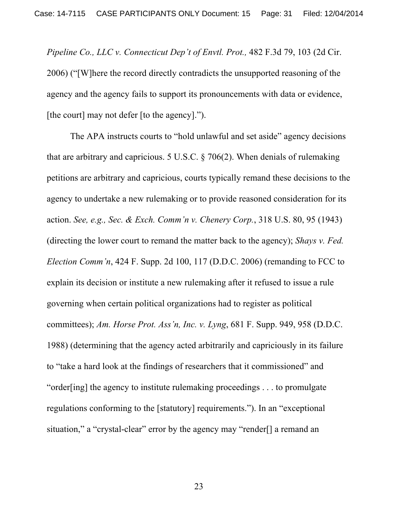*Pipeline Co., LLC v. Connecticut Dep't of Envtl. Prot.,* 482 F.3d 79, 103 (2d Cir. 2006) ("[W]here the record directly contradicts the unsupported reasoning of the agency and the agency fails to support its pronouncements with data or evidence, [the court] may not defer [to the agency].").

The APA instructs courts to "hold unlawful and set aside" agency decisions that are arbitrary and capricious. 5 U.S.C. § 706(2). When denials of rulemaking petitions are arbitrary and capricious, courts typically remand these decisions to the agency to undertake a new rulemaking or to provide reasoned consideration for its action. *See, e.g., Sec. & Exch. Comm'n v. Chenery Corp.*, 318 U.S. 80, 95 (1943) (directing the lower court to remand the matter back to the agency); *Shays v. Fed. Election Comm'n*, 424 F. Supp. 2d 100, 117 (D.D.C. 2006) (remanding to FCC to explain its decision or institute a new rulemaking after it refused to issue a rule governing when certain political organizations had to register as political committees); *Am. Horse Prot. Ass'n, Inc. v. Lyng*, 681 F. Supp. 949, 958 (D.D.C. 1988) (determining that the agency acted arbitrarily and capriciously in its failure to "take a hard look at the findings of researchers that it commissioned" and "order[ing] the agency to institute rulemaking proceedings . . . to promulgate regulations conforming to the [statutory] requirements."). In an "exceptional situation," a "crystal-clear" error by the agency may "render[] a remand an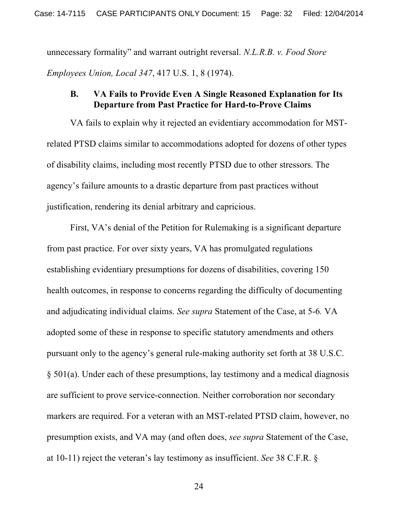unnecessary formality" and warrant outright reversal. *N.L.R.B. v. Food Store Employees Union, Local 347*, 417 U.S. 1, 8 (1974).

### **B. VA Fails to Provide Even A Single Reasoned Explanation for Its Departure from Past Practice for Hard-to-Prove Claims**

VA fails to explain why it rejected an evidentiary accommodation for MSTrelated PTSD claims similar to accommodations adopted for dozens of other types of disability claims, including most recently PTSD due to other stressors. The agency's failure amounts to a drastic departure from past practices without justification, rendering its denial arbitrary and capricious.

First, VA's denial of the Petition for Rulemaking is a significant departure from past practice. For over sixty years, VA has promulgated regulations establishing evidentiary presumptions for dozens of disabilities, covering 150 health outcomes, in response to concerns regarding the difficulty of documenting and adjudicating individual claims. *See supra* Statement of the Case, at 5-6*.* VA adopted some of these in response to specific statutory amendments and others pursuant only to the agency's general rule-making authority set forth at 38 U.S.C. § 501(a). Under each of these presumptions, lay testimony and a medical diagnosis are sufficient to prove service-connection. Neither corroboration nor secondary markers are required. For a veteran with an MST-related PTSD claim, however, no presumption exists, and VA may (and often does, *see supra* Statement of the Case, at 10-11) reject the veteran's lay testimony as insufficient. *See* 38 C.F.R. §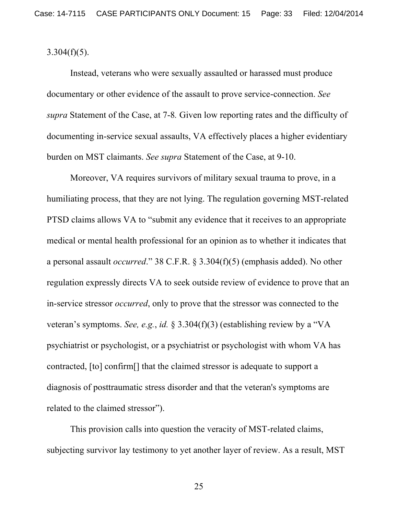$3.304(f)(5)$ .

Instead, veterans who were sexually assaulted or harassed must produce documentary or other evidence of the assault to prove service-connection. *See supra* Statement of the Case, at 7-8*.* Given low reporting rates and the difficulty of documenting in-service sexual assaults, VA effectively places a higher evidentiary burden on MST claimants. *See supra* Statement of the Case, at 9-10.

Moreover, VA requires survivors of military sexual trauma to prove, in a humiliating process, that they are not lying. The regulation governing MST-related PTSD claims allows VA to "submit any evidence that it receives to an appropriate medical or mental health professional for an opinion as to whether it indicates that a personal assault *occurred*." 38 C.F.R. § 3.304(f)(5) (emphasis added). No other regulation expressly directs VA to seek outside review of evidence to prove that an in-service stressor *occurred*, only to prove that the stressor was connected to the veteran's symptoms. *See, e.g.*, *id.* § 3.304(f)(3) (establishing review by a "VA psychiatrist or psychologist, or a psychiatrist or psychologist with whom VA has contracted, [to] confirm[] that the claimed stressor is adequate to support a diagnosis of posttraumatic stress disorder and that the veteran's symptoms are related to the claimed stressor").

This provision calls into question the veracity of MST-related claims, subjecting survivor lay testimony to yet another layer of review. As a result, MST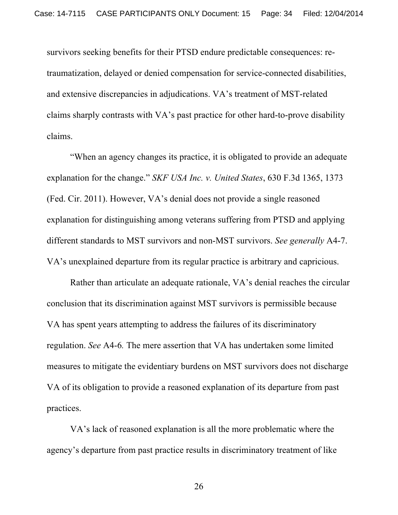survivors seeking benefits for their PTSD endure predictable consequences: retraumatization, delayed or denied compensation for service-connected disabilities, and extensive discrepancies in adjudications. VA's treatment of MST-related claims sharply contrasts with VA's past practice for other hard-to-prove disability claims.

"When an agency changes its practice, it is obligated to provide an adequate explanation for the change." *SKF USA Inc. v. United States*, 630 F.3d 1365, 1373 (Fed. Cir. 2011). However, VA's denial does not provide a single reasoned explanation for distinguishing among veterans suffering from PTSD and applying different standards to MST survivors and non-MST survivors. *See generally* A4-7. VA's unexplained departure from its regular practice is arbitrary and capricious.

Rather than articulate an adequate rationale, VA's denial reaches the circular conclusion that its discrimination against MST survivors is permissible because VA has spent years attempting to address the failures of its discriminatory regulation. *See* A4-6*.* The mere assertion that VA has undertaken some limited measures to mitigate the evidentiary burdens on MST survivors does not discharge VA of its obligation to provide a reasoned explanation of its departure from past practices.

VA's lack of reasoned explanation is all the more problematic where the agency's departure from past practice results in discriminatory treatment of like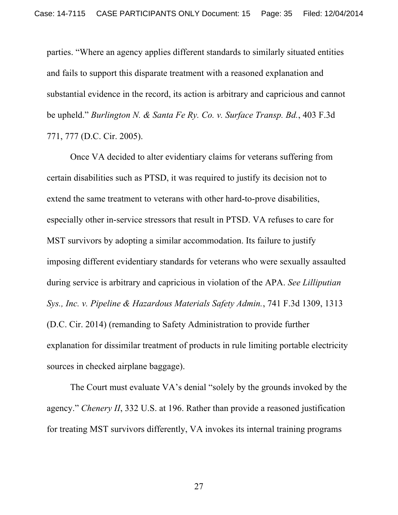parties. "Where an agency applies different standards to similarly situated entities and fails to support this disparate treatment with a reasoned explanation and substantial evidence in the record, its action is arbitrary and capricious and cannot be upheld." *Burlington N. & Santa Fe Ry. Co. v. Surface Transp. Bd.*, 403 F.3d 771, 777 (D.C. Cir. 2005).

Once VA decided to alter evidentiary claims for veterans suffering from certain disabilities such as PTSD, it was required to justify its decision not to extend the same treatment to veterans with other hard-to-prove disabilities, especially other in-service stressors that result in PTSD. VA refuses to care for MST survivors by adopting a similar accommodation. Its failure to justify imposing different evidentiary standards for veterans who were sexually assaulted during service is arbitrary and capricious in violation of the APA. *See Lilliputian Sys., Inc. v. Pipeline & Hazardous Materials Safety Admin.*, 741 F.3d 1309, 1313 (D.C. Cir. 2014) (remanding to Safety Administration to provide further explanation for dissimilar treatment of products in rule limiting portable electricity sources in checked airplane baggage).

The Court must evaluate VA's denial "solely by the grounds invoked by the agency." *Chenery II*, 332 U.S. at 196. Rather than provide a reasoned justification for treating MST survivors differently, VA invokes its internal training programs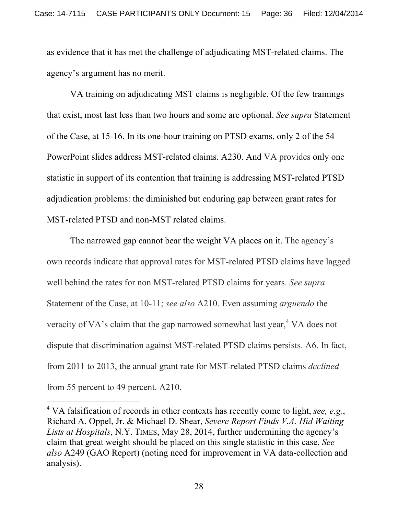as evidence that it has met the challenge of adjudicating MST-related claims. The agency's argument has no merit.

VA training on adjudicating MST claims is negligible. Of the few trainings that exist, most last less than two hours and some are optional. *See supra* Statement of the Case, at 15-16. In its one-hour training on PTSD exams, only 2 of the 54 PowerPoint slides address MST-related claims. A230. And VA provides only one statistic in support of its contention that training is addressing MST-related PTSD adjudication problems: the diminished but enduring gap between grant rates for MST-related PTSD and non-MST related claims.

The narrowed gap cannot bear the weight VA places on it. The agency's own records indicate that approval rates for MST-related PTSD claims have lagged well behind the rates for non MST-related PTSD claims for years. *See supra* Statement of the Case, at 10-11; *see also* A210. Even assuming *arguendo* the veracity of VA's claim that the gap narrowed somewhat last year,  $4$  VA does not dispute that discrimination against MST-related PTSD claims persists. A6. In fact, from 2011 to 2013, the annual grant rate for MST-related PTSD claims *declined* from 55 percent to 49 percent. A210.

!!!!!!!!!!!!!!!!!!!!!!!!!!!!!!!!!!!!!!!! !!!!!!!

<sup>4</sup> VA falsification of records in other contexts has recently come to light, *see, e.g.*, Richard A. Oppel, Jr. & Michael D. Shear, *Severe Report Finds V.A. Hid Waiting Lists at Hospitals*, N.Y. TIMES, May 28, 2014, further undermining the agency's claim that great weight should be placed on this single statistic in this case. *See also* A249 (GAO Report) (noting need for improvement in VA data-collection and analysis).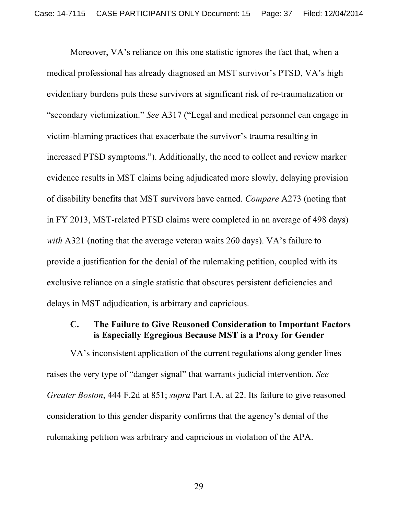Moreover, VA's reliance on this one statistic ignores the fact that, when a medical professional has already diagnosed an MST survivor's PTSD, VA's high evidentiary burdens puts these survivors at significant risk of re-traumatization or "secondary victimization." *See* A317 ("Legal and medical personnel can engage in victim-blaming practices that exacerbate the survivor's trauma resulting in increased PTSD symptoms."). Additionally, the need to collect and review marker evidence results in MST claims being adjudicated more slowly, delaying provision of disability benefits that MST survivors have earned. *Compare* A273 (noting that in FY 2013, MST-related PTSD claims were completed in an average of 498 days) *with* A321 (noting that the average veteran waits 260 days). VA's failure to provide a justification for the denial of the rulemaking petition, coupled with its exclusive reliance on a single statistic that obscures persistent deficiencies and delays in MST adjudication, is arbitrary and capricious.

### **C. The Failure to Give Reasoned Consideration to Important Factors is Especially Egregious Because MST is a Proxy for Gender**

VA's inconsistent application of the current regulations along gender lines raises the very type of "danger signal" that warrants judicial intervention. *See Greater Boston*, 444 F.2d at 851; *supra* Part I.A, at 22. Its failure to give reasoned consideration to this gender disparity confirms that the agency's denial of the rulemaking petition was arbitrary and capricious in violation of the APA.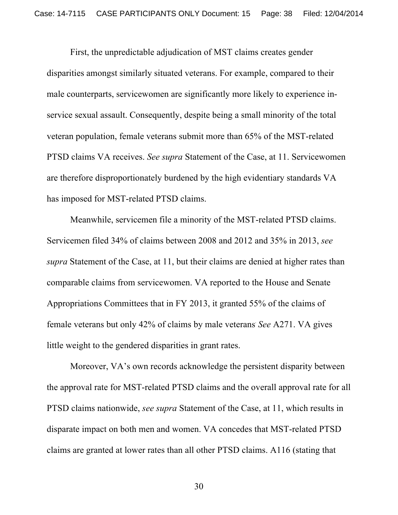First, the unpredictable adjudication of MST claims creates gender disparities amongst similarly situated veterans. For example, compared to their male counterparts, servicewomen are significantly more likely to experience inservice sexual assault. Consequently, despite being a small minority of the total veteran population, female veterans submit more than 65% of the MST-related PTSD claims VA receives. *See supra* Statement of the Case, at 11. Servicewomen are therefore disproportionately burdened by the high evidentiary standards VA has imposed for MST-related PTSD claims.

Meanwhile, servicemen file a minority of the MST-related PTSD claims. Servicemen filed 34% of claims between 2008 and 2012 and 35% in 2013, *see supra* Statement of the Case, at 11, but their claims are denied at higher rates than comparable claims from servicewomen. VA reported to the House and Senate Appropriations Committees that in FY 2013, it granted 55% of the claims of female veterans but only 42% of claims by male veterans*. See* A271. VA gives little weight to the gendered disparities in grant rates.

Moreover, VA's own records acknowledge the persistent disparity between the approval rate for MST-related PTSD claims and the overall approval rate for all PTSD claims nationwide, *see supra* Statement of the Case, at 11, which results in disparate impact on both men and women. VA concedes that MST-related PTSD claims are granted at lower rates than all other PTSD claims. A116 (stating that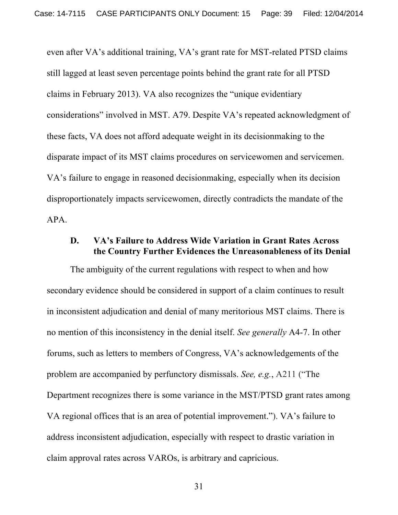even after VA's additional training, VA's grant rate for MST-related PTSD claims still lagged at least seven percentage points behind the grant rate for all PTSD claims in February 2013). VA also recognizes the "unique evidentiary considerations" involved in MST. A79. Despite VA's repeated acknowledgment of these facts, VA does not afford adequate weight in its decisionmaking to the disparate impact of its MST claims procedures on servicewomen and servicemen. VA's failure to engage in reasoned decisionmaking, especially when its decision disproportionately impacts servicewomen, directly contradicts the mandate of the APA.

### **D. VA's Failure to Address Wide Variation in Grant Rates Across the Country Further Evidences the Unreasonableness of its Denial**

The ambiguity of the current regulations with respect to when and how secondary evidence should be considered in support of a claim continues to result in inconsistent adjudication and denial of many meritorious MST claims. There is no mention of this inconsistency in the denial itself. *See generally* A4-7. In other forums, such as letters to members of Congress, VA's acknowledgements of the problem are accompanied by perfunctory dismissals. *See, e.g.*, A211 ("The Department recognizes there is some variance in the MST/PTSD grant rates among VA regional offices that is an area of potential improvement."). VA's failure to address inconsistent adjudication, especially with respect to drastic variation in claim approval rates across VAROs, is arbitrary and capricious.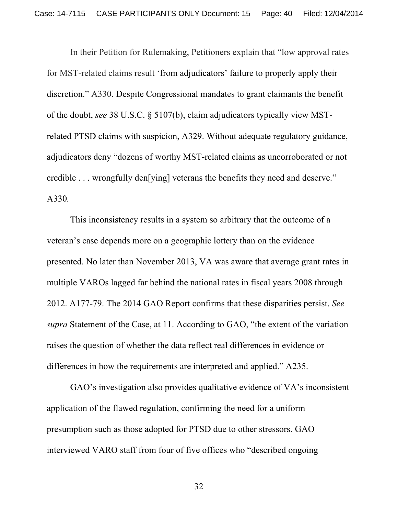In their Petition for Rulemaking, Petitioners explain that "low approval rates for MST-related claims result 'from adjudicators' failure to properly apply their discretion." A330. Despite Congressional mandates to grant claimants the benefit of the doubt, *see* 38 U.S.C. § 5107(b), claim adjudicators typically view MSTrelated PTSD claims with suspicion, A329. Without adequate regulatory guidance, adjudicators deny "dozens of worthy MST-related claims as uncorroborated or not credible . . . wrongfully den[ying] veterans the benefits they need and deserve." A330*.* 

This inconsistency results in a system so arbitrary that the outcome of a veteran's case depends more on a geographic lottery than on the evidence presented. No later than November 2013, VA was aware that average grant rates in multiple VAROs lagged far behind the national rates in fiscal years 2008 through 2012. A177-79. The 2014 GAO Report confirms that these disparities persist. *See supra* Statement of the Case, at 11. According to GAO, "the extent of the variation raises the question of whether the data reflect real differences in evidence or differences in how the requirements are interpreted and applied." A235.

GAO's investigation also provides qualitative evidence of VA's inconsistent application of the flawed regulation, confirming the need for a uniform presumption such as those adopted for PTSD due to other stressors. GAO interviewed VARO staff from four of five offices who "described ongoing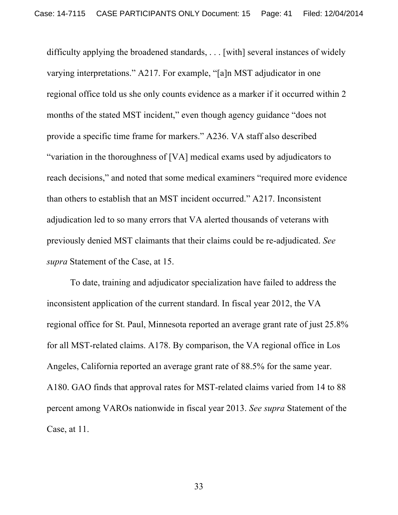difficulty applying the broadened standards, . . . [with] several instances of widely varying interpretations." A217. For example, "[a]n MST adjudicator in one regional office told us she only counts evidence as a marker if it occurred within 2 months of the stated MST incident," even though agency guidance "does not provide a specific time frame for markers." A236. VA staff also described "variation in the thoroughness of [VA] medical exams used by adjudicators to reach decisions," and noted that some medical examiners "required more evidence than others to establish that an MST incident occurred." A217. Inconsistent adjudication led to so many errors that VA alerted thousands of veterans with previously denied MST claimants that their claims could be re-adjudicated. *See supra* Statement of the Case, at 15.

To date, training and adjudicator specialization have failed to address the inconsistent application of the current standard. In fiscal year 2012, the VA regional office for St. Paul, Minnesota reported an average grant rate of just 25.8% for all MST-related claims. A178. By comparison, the VA regional office in Los Angeles, California reported an average grant rate of 88.5% for the same year. A180. GAO finds that approval rates for MST-related claims varied from 14 to 88 percent among VAROs nationwide in fiscal year 2013. *See supra* Statement of the Case, at 11.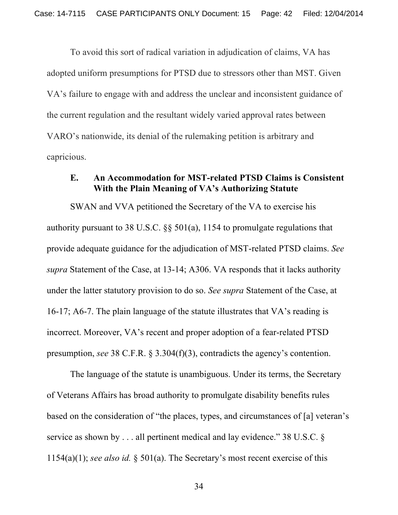To avoid this sort of radical variation in adjudication of claims, VA has adopted uniform presumptions for PTSD due to stressors other than MST. Given VA's failure to engage with and address the unclear and inconsistent guidance of the current regulation and the resultant widely varied approval rates between VARO's nationwide, its denial of the rulemaking petition is arbitrary and capricious.

#### **E. An Accommodation for MST-related PTSD Claims is Consistent With the Plain Meaning of VA's Authorizing Statute**

SWAN and VVA petitioned the Secretary of the VA to exercise his authority pursuant to 38 U.S.C. §§ 501(a), 1154 to promulgate regulations that provide adequate guidance for the adjudication of MST-related PTSD claims. *See supra* Statement of the Case, at 13-14; A306. VA responds that it lacks authority under the latter statutory provision to do so. *See supra* Statement of the Case, at 16-17; A6-7. The plain language of the statute illustrates that VA's reading is incorrect. Moreover, VA's recent and proper adoption of a fear-related PTSD presumption, *see* 38 C.F.R. § 3.304(f)(3), contradicts the agency's contention.

The language of the statute is unambiguous. Under its terms, the Secretary of Veterans Affairs has broad authority to promulgate disability benefits rules based on the consideration of "the places, types, and circumstances of [a] veteran's service as shown by . . . all pertinent medical and lay evidence." 38 U.S.C. § 1154(a)(1); *see also id.* § 501(a). The Secretary's most recent exercise of this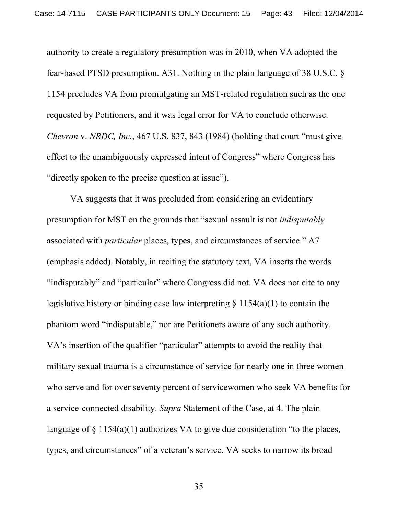authority to create a regulatory presumption was in 2010, when VA adopted the fear-based PTSD presumption. A31. Nothing in the plain language of 38 U.S.C. § 1154 precludes VA from promulgating an MST-related regulation such as the one requested by Petitioners, and it was legal error for VA to conclude otherwise. *Chevron* v. *NRDC, Inc.*, 467 U.S. 837, 843 (1984) (holding that court "must give effect to the unambiguously expressed intent of Congress" where Congress has "directly spoken to the precise question at issue").

VA suggests that it was precluded from considering an evidentiary presumption for MST on the grounds that "sexual assault is not *indisputably* associated with *particular* places, types, and circumstances of service." A7 (emphasis added). Notably, in reciting the statutory text, VA inserts the words "indisputably" and "particular" where Congress did not. VA does not cite to any legislative history or binding case law interpreting  $\S 1154(a)(1)$  to contain the phantom word "indisputable," nor are Petitioners aware of any such authority. VA's insertion of the qualifier "particular" attempts to avoid the reality that military sexual trauma is a circumstance of service for nearly one in three women who serve and for over seventy percent of servicewomen who seek VA benefits for a service-connected disability. *Supra* Statement of the Case, at 4. The plain language of  $\S$  1154(a)(1) authorizes VA to give due consideration "to the places, types, and circumstances" of a veteran's service. VA seeks to narrow its broad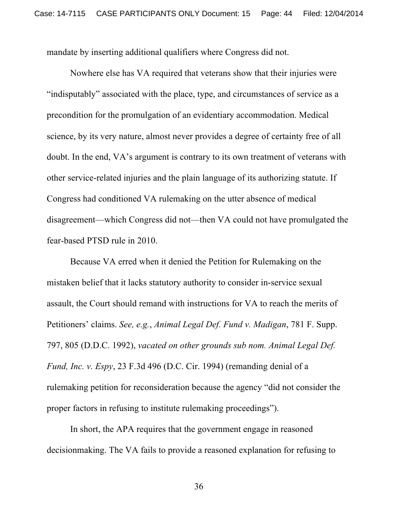mandate by inserting additional qualifiers where Congress did not.

Nowhere else has VA required that veterans show that their injuries were "indisputably" associated with the place, type, and circumstances of service as a precondition for the promulgation of an evidentiary accommodation. Medical science, by its very nature, almost never provides a degree of certainty free of all doubt. In the end, VA's argument is contrary to its own treatment of veterans with other service-related injuries and the plain language of its authorizing statute. If Congress had conditioned VA rulemaking on the utter absence of medical disagreement—which Congress did not—then VA could not have promulgated the fear-based PTSD rule in 2010.

Because VA erred when it denied the Petition for Rulemaking on the mistaken belief that it lacks statutory authority to consider in-service sexual assault, the Court should remand with instructions for VA to reach the merits of Petitioners' claims. *See, e.g.*, *Animal Legal Def. Fund v. Madigan*, 781 F. Supp. 797, 805 (D.D.C. 1992), *vacated on other grounds sub nom. Animal Legal Def. Fund, Inc. v. Espy*, 23 F.3d 496 (D.C. Cir. 1994) (remanding denial of a rulemaking petition for reconsideration because the agency "did not consider the proper factors in refusing to institute rulemaking proceedings").

In short, the APA requires that the government engage in reasoned decisionmaking. The VA fails to provide a reasoned explanation for refusing to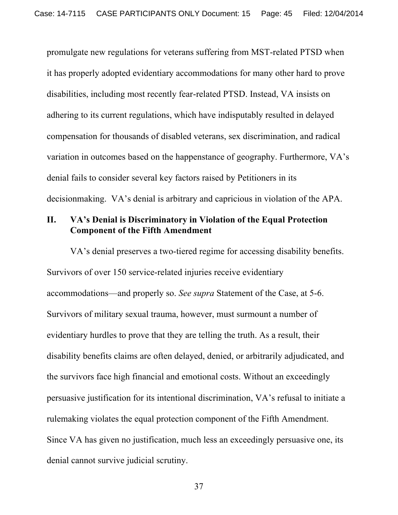promulgate new regulations for veterans suffering from MST-related PTSD when it has properly adopted evidentiary accommodations for many other hard to prove disabilities, including most recently fear-related PTSD. Instead, VA insists on adhering to its current regulations, which have indisputably resulted in delayed compensation for thousands of disabled veterans, sex discrimination, and radical variation in outcomes based on the happenstance of geography. Furthermore, VA's denial fails to consider several key factors raised by Petitioners in its decisionmaking. VA's denial is arbitrary and capricious in violation of the APA.

## **II. VA's Denial is Discriminatory in Violation of the Equal Protection Component of the Fifth Amendment**

VA's denial preserves a two-tiered regime for accessing disability benefits. Survivors of over 150 service-related injuries receive evidentiary accommodations—and properly so. *See supra* Statement of the Case, at 5-6. Survivors of military sexual trauma, however, must surmount a number of evidentiary hurdles to prove that they are telling the truth. As a result, their disability benefits claims are often delayed, denied, or arbitrarily adjudicated, and the survivors face high financial and emotional costs. Without an exceedingly persuasive justification for its intentional discrimination, VA's refusal to initiate a rulemaking violates the equal protection component of the Fifth Amendment. Since VA has given no justification, much less an exceedingly persuasive one, its denial cannot survive judicial scrutiny.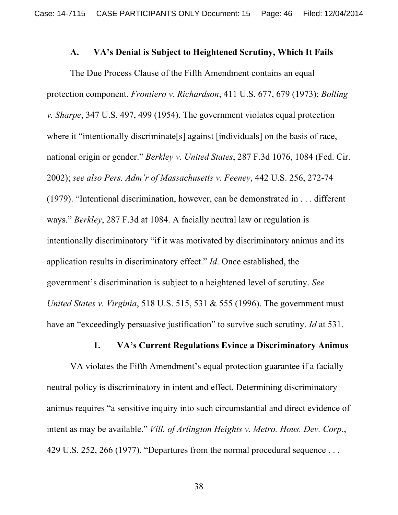#### **A. VA's Denial is Subject to Heightened Scrutiny, Which It Fails**

The Due Process Clause of the Fifth Amendment contains an equal protection component. *Frontiero v. Richardson*, 411 U.S. 677, 679 (1973); *Bolling v. Sharpe*, 347 U.S. 497, 499 (1954). The government violates equal protection where it "intentionally discriminate<sup>[s]</sup> against [individuals] on the basis of race, national origin or gender." *Berkley v. United States*, 287 F.3d 1076, 1084 (Fed. Cir. 2002); *see also Pers. Adm'r of Massachusetts v. Feeney*, 442 U.S. 256, 272-74 (1979). "Intentional discrimination, however, can be demonstrated in . . . different ways." *Berkley*, 287 F.3d at 1084. A facially neutral law or regulation is intentionally discriminatory "if it was motivated by discriminatory animus and its application results in discriminatory effect." *Id*. Once established, the government's discrimination is subject to a heightened level of scrutiny. *See United States v. Virginia*, 518 U.S. 515, 531 & 555 (1996). The government must have an "exceedingly persuasive justification" to survive such scrutiny. *Id* at 531.

#### **1. VA's Current Regulations Evince a Discriminatory Animus**

VA violates the Fifth Amendment's equal protection guarantee if a facially neutral policy is discriminatory in intent and effect. Determining discriminatory animus requires "a sensitive inquiry into such circumstantial and direct evidence of intent as may be available." *Vill. of Arlington Heights v. Metro. Hous. Dev. Corp*., 429 U.S. 252, 266 (1977). "Departures from the normal procedural sequence . . .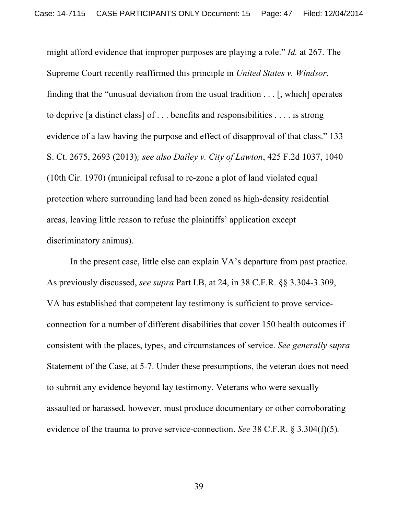might afford evidence that improper purposes are playing a role." *Id.* at 267. The Supreme Court recently reaffirmed this principle in *United States v. Windsor*, finding that the "unusual deviation from the usual tradition . . . [, which] operates to deprive [a distinct class] of . . . benefits and responsibilities . . . . is strong evidence of a law having the purpose and effect of disapproval of that class." 133 S. Ct. 2675, 2693 (2013)*; see also Dailey v. City of Lawton*, 425 F.2d 1037, 1040 (10th Cir. 1970) (municipal refusal to re-zone a plot of land violated equal protection where surrounding land had been zoned as high-density residential areas, leaving little reason to refuse the plaintiffs' application except discriminatory animus).

In the present case, little else can explain VA's departure from past practice. As previously discussed, *see supra* Part I.B, at 24, in 38 C.F.R. §§ 3.304-3.309, VA has established that competent lay testimony is sufficient to prove serviceconnection for a number of different disabilities that cover 150 health outcomes if consistent with the places, types, and circumstances of service. *See generally* s*upra*  Statement of the Case, at 5-7. Under these presumptions, the veteran does not need to submit any evidence beyond lay testimony. Veterans who were sexually assaulted or harassed, however, must produce documentary or other corroborating evidence of the trauma to prove service-connection. *See* 38 C.F.R. § 3.304(f)(5)*.*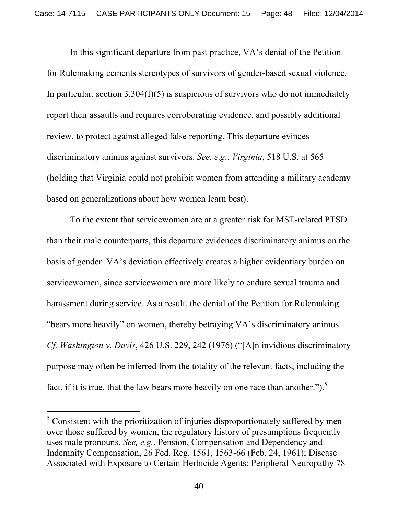In this significant departure from past practice, VA's denial of the Petition for Rulemaking cements stereotypes of survivors of gender-based sexual violence. In particular, section  $3.304(f)(5)$  is suspicious of survivors who do not immediately report their assaults and requires corroborating evidence, and possibly additional review, to protect against alleged false reporting. This departure evinces discriminatory animus against survivors. *See, e.g.*, *Virginia*, 518 U.S. at 565 (holding that Virginia could not prohibit women from attending a military academy based on generalizations about how women learn best).

To the extent that servicewomen are at a greater risk for MST-related PTSD than their male counterparts, this departure evidences discriminatory animus on the basis of gender. VA's deviation effectively creates a higher evidentiary burden on servicewomen, since servicewomen are more likely to endure sexual trauma and harassment during service. As a result, the denial of the Petition for Rulemaking "bears more heavily" on women, thereby betraying VA's discriminatory animus. *Cf. Washington v. Davis*, 426 U.S. 229, 242 (1976) ("[A]n invidious discriminatory purpose may often be inferred from the totality of the relevant facts, including the fact, if it is true, that the law bears more heavily on one race than another.").<sup>5</sup>

!!!!!!!!!!!!!!!!!!!!!!!!!!!!!!!!!!!!!!!! !!!!!!!

<sup>&</sup>lt;sup>5</sup> Consistent with the prioritization of injuries disproportionately suffered by men over those suffered by women, the regulatory history of presumptions frequently uses male pronouns. *See, e.g.*, Pension, Compensation and Dependency and Indemnity Compensation, 26 Fed. Reg. 1561, 1563-66 (Feb. 24, 1961); Disease Associated with Exposure to Certain Herbicide Agents: Peripheral Neuropathy 78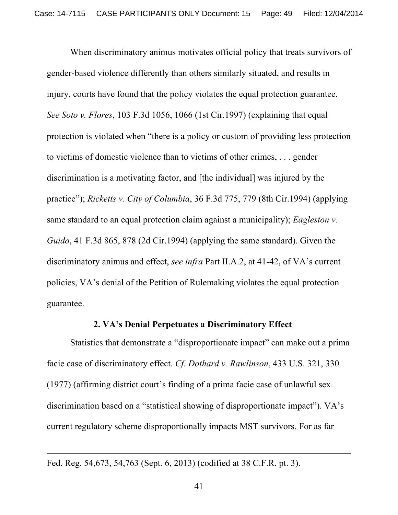When discriminatory animus motivates official policy that treats survivors of gender-based violence differently than others similarly situated, and results in injury, courts have found that the policy violates the equal protection guarantee. *See Soto v. Flores*, 103 F.3d 1056, 1066 (1st Cir.1997) (explaining that equal protection is violated when "there is a policy or custom of providing less protection to victims of domestic violence than to victims of other crimes, . . . gender discrimination is a motivating factor, and [the individual] was injured by the practice"); *Ricketts v. City of Columbia*, 36 F.3d 775, 779 (8th Cir.1994) (applying same standard to an equal protection claim against a municipality); *Eagleston v. Guido*, 41 F.3d 865, 878 (2d Cir.1994) (applying the same standard). Given the discriminatory animus and effect, *see infra* Part II.A.2, at 41-42, of VA's current policies, VA's denial of the Petition of Rulemaking violates the equal protection guarantee.

### **2. VA's Denial Perpetuates a Discriminatory Effect**

Statistics that demonstrate a "disproportionate impact" can make out a prima facie case of discriminatory effect. *Cf. Dothard v. Rawlinson*, 433 U.S. 321, 330 (1977) (affirming district court's finding of a prima facie case of unlawful sex discrimination based on a "statistical showing of disproportionate impact"). VA's current regulatory scheme disproportionally impacts MST survivors. For as far

!!!!!!!!!!!!!!!!!!!!!!!!!!!!!!!!!!!!!!!! !!!!!!!!!!!!!!!!!!!!!!!!!!!!!!!!!!!!!!!! !!!!!!!!!!!!!!!!!!!!!!!!!!!!!!!!!!!!!!!! !!!!!!!!!!!!!!!!!!!!!!!!!!!!!!

Fed. Reg. 54,673, 54,763 (Sept. 6, 2013) (codified at 38 C.F.R. pt. 3).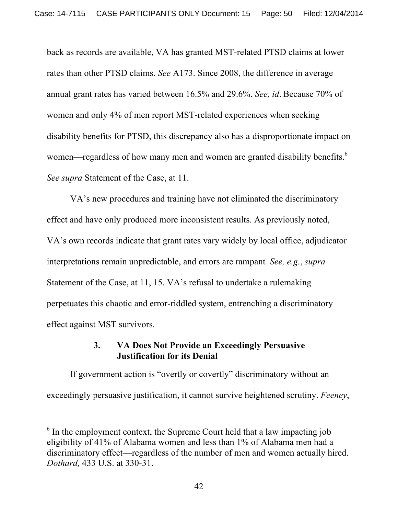back as records are available, VA has granted MST-related PTSD claims at lower rates than other PTSD claims. *See* A173. Since 2008, the difference in average annual grant rates has varied between 16.5% and 29.6%. *See, id*. Because 70% of women and only 4% of men report MST-related experiences when seeking disability benefits for PTSD, this discrepancy also has a disproportionate impact on women—regardless of how many men and women are granted disability benefits.<sup>6</sup> *See supra* Statement of the Case, at 11.

VA's new procedures and training have not eliminated the discriminatory effect and have only produced more inconsistent results. As previously noted, VA's own records indicate that grant rates vary widely by local office, adjudicator interpretations remain unpredictable, and errors are rampant*. See, e.g.*, *supra*  Statement of the Case, at 11, 15. VA's refusal to undertake a rulemaking perpetuates this chaotic and error-riddled system, entrenching a discriminatory effect against MST survivors.

## **3. VA Does Not Provide an Exceedingly Persuasive Justification for its Denial**

If government action is "overtly or covertly" discriminatory without an exceedingly persuasive justification, it cannot survive heightened scrutiny. *Feeney*,

!!!!!!!!!!!!!!!!!!!!!!!!!!!!!!!!!!!!!!!! !!!!!!!

 $6$  In the employment context, the Supreme Court held that a law impacting job eligibility of 41% of Alabama women and less than 1% of Alabama men had a discriminatory effect—regardless of the number of men and women actually hired. *Dothard,* 433 U.S. at 330-31.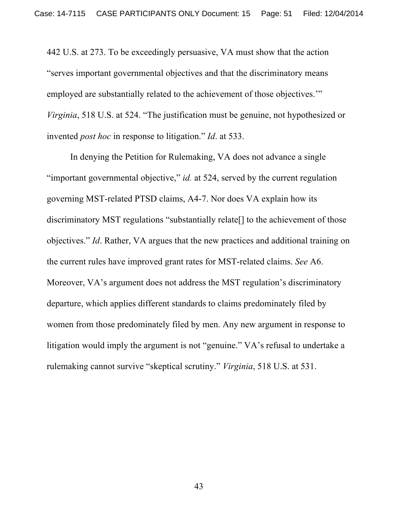442 U.S. at 273. To be exceedingly persuasive, VA must show that the action "serves important governmental objectives and that the discriminatory means employed are substantially related to the achievement of those objectives.'" *Virginia*, 518 U.S. at 524. "The justification must be genuine, not hypothesized or invented *post hoc* in response to litigation." *Id*. at 533.

In denying the Petition for Rulemaking, VA does not advance a single "important governmental objective," *id.* at 524, served by the current regulation governing MST-related PTSD claims, A4-7. Nor does VA explain how its discriminatory MST regulations "substantially relate[] to the achievement of those objectives." *Id*. Rather, VA argues that the new practices and additional training on the current rules have improved grant rates for MST-related claims. *See* A6. Moreover, VA's argument does not address the MST regulation's discriminatory departure, which applies different standards to claims predominately filed by women from those predominately filed by men. Any new argument in response to litigation would imply the argument is not "genuine." VA's refusal to undertake a rulemaking cannot survive "skeptical scrutiny." *Virginia*, 518 U.S. at 531.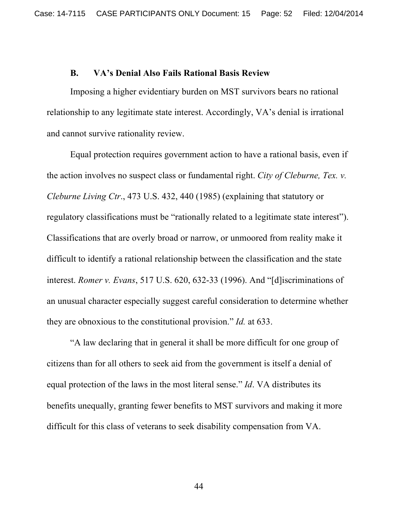### **B. VA's Denial Also Fails Rational Basis Review**

Imposing a higher evidentiary burden on MST survivors bears no rational relationship to any legitimate state interest. Accordingly, VA's denial is irrational and cannot survive rationality review.

Equal protection requires government action to have a rational basis, even if the action involves no suspect class or fundamental right. *City of Cleburne, Tex. v. Cleburne Living Ctr*., 473 U.S. 432, 440 (1985) (explaining that statutory or regulatory classifications must be "rationally related to a legitimate state interest"). Classifications that are overly broad or narrow, or unmoored from reality make it difficult to identify a rational relationship between the classification and the state interest. *Romer v. Evans*, 517 U.S. 620, 632-33 (1996). And "[d]iscriminations of an unusual character especially suggest careful consideration to determine whether they are obnoxious to the constitutional provision." *Id.* at 633.

"A law declaring that in general it shall be more difficult for one group of citizens than for all others to seek aid from the government is itself a denial of equal protection of the laws in the most literal sense." *Id*. VA distributes its benefits unequally, granting fewer benefits to MST survivors and making it more difficult for this class of veterans to seek disability compensation from VA.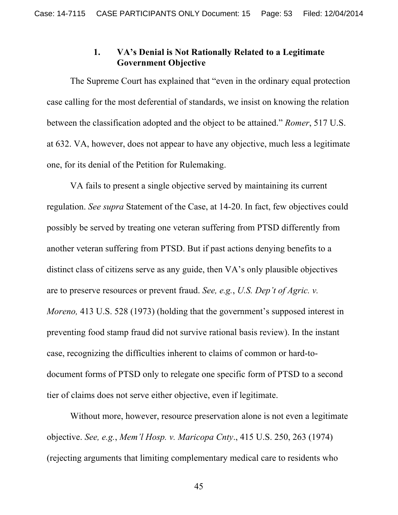### **1. VA's Denial is Not Rationally Related to a Legitimate Government Objective**

The Supreme Court has explained that "even in the ordinary equal protection case calling for the most deferential of standards, we insist on knowing the relation between the classification adopted and the object to be attained." *Romer*, 517 U.S. at 632. VA, however, does not appear to have any objective, much less a legitimate one, for its denial of the Petition for Rulemaking.

VA fails to present a single objective served by maintaining its current regulation. *See supra* Statement of the Case, at 14-20. In fact, few objectives could possibly be served by treating one veteran suffering from PTSD differently from another veteran suffering from PTSD. But if past actions denying benefits to a distinct class of citizens serve as any guide, then VA's only plausible objectives are to preserve resources or prevent fraud. *See, e.g.*, *U.S. Dep't of Agric. v. Moreno,* 413 U.S. 528 (1973) (holding that the government's supposed interest in preventing food stamp fraud did not survive rational basis review). In the instant case, recognizing the difficulties inherent to claims of common or hard-todocument forms of PTSD only to relegate one specific form of PTSD to a second tier of claims does not serve either objective, even if legitimate.

Without more, however, resource preservation alone is not even a legitimate objective. *See, e.g.*, *Mem'l Hosp. v. Maricopa Cnty*., 415 U.S. 250, 263 (1974) (rejecting arguments that limiting complementary medical care to residents who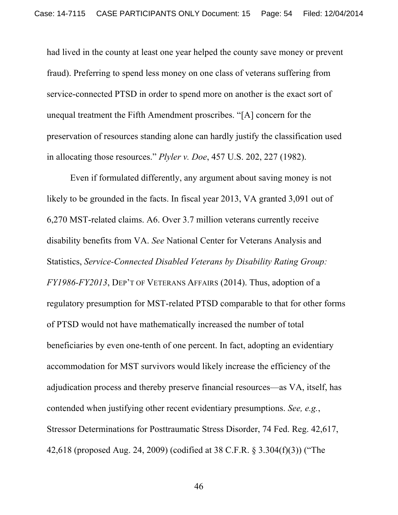had lived in the county at least one year helped the county save money or prevent fraud). Preferring to spend less money on one class of veterans suffering from service-connected PTSD in order to spend more on another is the exact sort of unequal treatment the Fifth Amendment proscribes. "[A] concern for the preservation of resources standing alone can hardly justify the classification used in allocating those resources." *Plyler v. Doe*, 457 U.S. 202, 227 (1982).

Even if formulated differently, any argument about saving money is not likely to be grounded in the facts. In fiscal year 2013, VA granted 3,091 out of 6,270 MST-related claims. A6. Over 3.7 million veterans currently receive disability benefits from VA. *See* National Center for Veterans Analysis and Statistics, *Service-Connected Disabled Veterans by Disability Rating Group: FY1986-FY2013*, DEP'T OF VETERANS AFFAIRS (2014). Thus, adoption of a regulatory presumption for MST-related PTSD comparable to that for other forms of PTSD would not have mathematically increased the number of total beneficiaries by even one-tenth of one percent. In fact, adopting an evidentiary accommodation for MST survivors would likely increase the efficiency of the adjudication process and thereby preserve financial resources—as VA, itself, has contended when justifying other recent evidentiary presumptions. *See, e.g.*, Stressor Determinations for Posttraumatic Stress Disorder, 74 Fed. Reg. 42,617, 42,618 (proposed Aug. 24, 2009) (codified at 38 C.F.R. § 3.304(f)(3)) ("The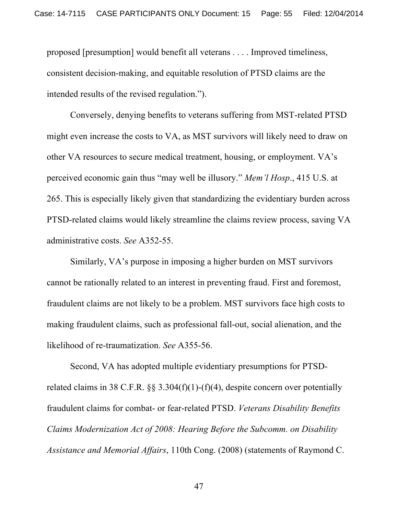proposed [presumption] would benefit all veterans . . . . Improved timeliness, consistent decision-making, and equitable resolution of PTSD claims are the intended results of the revised regulation.").

Conversely, denying benefits to veterans suffering from MST-related PTSD might even increase the costs to VA, as MST survivors will likely need to draw on other VA resources to secure medical treatment, housing, or employment. VA's perceived economic gain thus "may well be illusory." *Mem'l Hosp*., 415 U.S. at 265. This is especially likely given that standardizing the evidentiary burden across PTSD-related claims would likely streamline the claims review process, saving VA administrative costs. *See* A352-55.

Similarly, VA's purpose in imposing a higher burden on MST survivors cannot be rationally related to an interest in preventing fraud. First and foremost, fraudulent claims are not likely to be a problem. MST survivors face high costs to making fraudulent claims, such as professional fall-out, social alienation, and the likelihood of re-traumatization. *See* A355-56.

Second, VA has adopted multiple evidentiary presumptions for PTSDrelated claims in 38 C.F.R.  $\S$  3.304(f)(1)-(f)(4), despite concern over potentially fraudulent claims for combat- or fear-related PTSD. *Veterans Disability Benefits Claims Modernization Act of 2008: Hearing Before the Subcomm. on Disability Assistance and Memorial Affairs*, 110th Cong. (2008) (statements of Raymond C.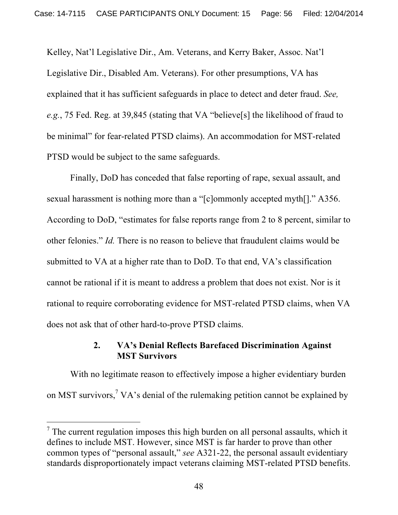Kelley, Nat'l Legislative Dir., Am. Veterans, and Kerry Baker, Assoc. Nat'l Legislative Dir., Disabled Am. Veterans). For other presumptions, VA has explained that it has sufficient safeguards in place to detect and deter fraud. *See, e.g.*, 75 Fed. Reg. at 39,845 (stating that VA "believe[s] the likelihood of fraud to be minimal" for fear-related PTSD claims). An accommodation for MST-related PTSD would be subject to the same safeguards.

Finally, DoD has conceded that false reporting of rape, sexual assault, and sexual harassment is nothing more than a "[c]ommonly accepted myth[]." A356. According to DoD, "estimates for false reports range from 2 to 8 percent, similar to other felonies." *Id.* There is no reason to believe that fraudulent claims would be submitted to VA at a higher rate than to DoD. To that end, VA's classification cannot be rational if it is meant to address a problem that does not exist. Nor is it rational to require corroborating evidence for MST-related PTSD claims, when VA does not ask that of other hard-to-prove PTSD claims.

## **2. VA's Denial Reflects Barefaced Discrimination Against MST Survivors**

With no legitimate reason to effectively impose a higher evidentiary burden on MST survivors,<sup>7</sup> VA's denial of the rulemaking petition cannot be explained by

!!!!!!!!!!!!!!!!!!!!!!!!!!!!!!!!!!!!!!!! !!!!!!!

 $<sup>7</sup>$  The current regulation imposes this high burden on all personal assaults, which it</sup> defines to include MST. However, since MST is far harder to prove than other common types of "personal assault," *see* A321-22, the personal assault evidentiary standards disproportionately impact veterans claiming MST-related PTSD benefits.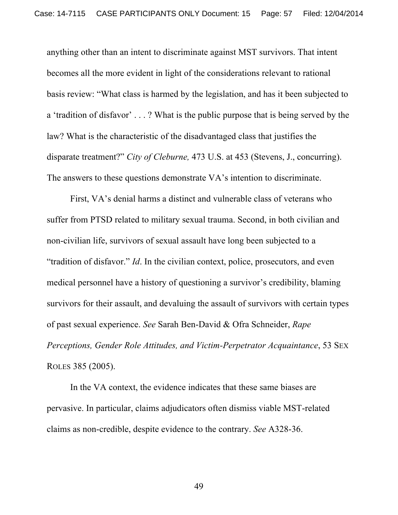anything other than an intent to discriminate against MST survivors. That intent becomes all the more evident in light of the considerations relevant to rational basis review: "What class is harmed by the legislation, and has it been subjected to a 'tradition of disfavor' . . . ? What is the public purpose that is being served by the law? What is the characteristic of the disadvantaged class that justifies the disparate treatment?" *City of Cleburne,* 473 U.S. at 453 (Stevens, J., concurring). The answers to these questions demonstrate VA's intention to discriminate.

First, VA's denial harms a distinct and vulnerable class of veterans who suffer from PTSD related to military sexual trauma. Second, in both civilian and non-civilian life, survivors of sexual assault have long been subjected to a "tradition of disfavor." *Id*. In the civilian context, police, prosecutors, and even medical personnel have a history of questioning a survivor's credibility, blaming survivors for their assault, and devaluing the assault of survivors with certain types of past sexual experience. *See* Sarah Ben-David & Ofra Schneider, *Rape Perceptions, Gender Role Attitudes, and Victim-Perpetrator Acquaintance*, 53 SEX ROLES 385 (2005).

In the VA context, the evidence indicates that these same biases are pervasive. In particular, claims adjudicators often dismiss viable MST-related claims as non-credible, despite evidence to the contrary. *See* A328-36.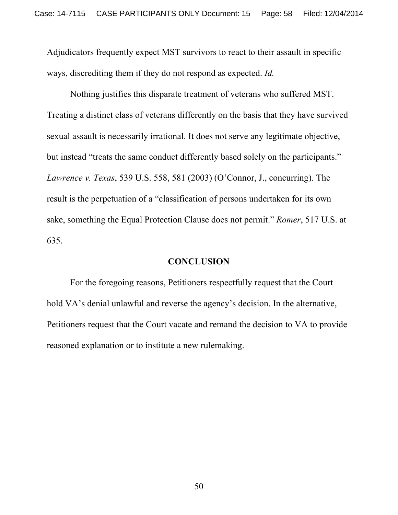Adjudicators frequently expect MST survivors to react to their assault in specific ways, discrediting them if they do not respond as expected. *Id.*

Nothing justifies this disparate treatment of veterans who suffered MST. Treating a distinct class of veterans differently on the basis that they have survived sexual assault is necessarily irrational. It does not serve any legitimate objective, but instead "treats the same conduct differently based solely on the participants." *Lawrence v. Texas*, 539 U.S. 558, 581 (2003) (O'Connor, J., concurring). The result is the perpetuation of a "classification of persons undertaken for its own sake, something the Equal Protection Clause does not permit." *Romer*, 517 U.S. at 635.

#### **CONCLUSION**

For the foregoing reasons, Petitioners respectfully request that the Court hold VA's denial unlawful and reverse the agency's decision. In the alternative, Petitioners request that the Court vacate and remand the decision to VA to provide reasoned explanation or to institute a new rulemaking.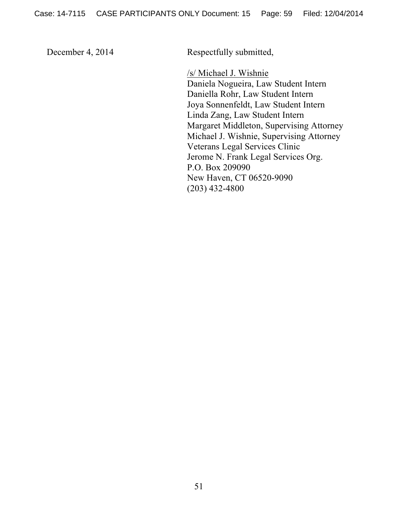December 4, 2014 Respectfully submitted,

/s/ Michael J. Wishnie Daniela Nogueira, Law Student Intern Daniella Rohr, Law Student Intern Joya Sonnenfeldt, Law Student Intern Linda Zang, Law Student Intern Margaret Middleton, Supervising Attorney Michael J. Wishnie, Supervising Attorney Veterans Legal Services Clinic Jerome N. Frank Legal Services Org. P.O. Box 209090 New Haven, CT 06520-9090 (203) 432-4800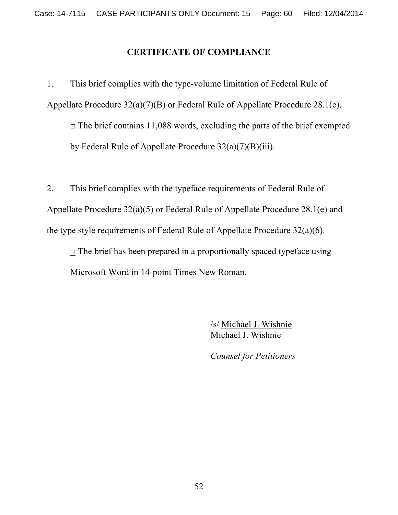## **CERTIFICATE OF COMPLIANCE**

1. This brief complies with the type-volume limitation of Federal Rule of Appellate Procedure 32(a)(7)(B) or Federal Rule of Appellate Procedure 28.1(e).  $\Box$  The brief contains 11,088 words, excluding the parts of the brief exempted

by Federal Rule of Appellate Procedure 32(a)(7)(B)(iii).

2. This brief complies with the typeface requirements of Federal Rule of Appellate Procedure 32(a)(5) or Federal Rule of Appellate Procedure 28.1(e) and the type style requirements of Federal Rule of Appellate Procedure 32(a)(6).

 $\Box$  The brief has been prepared in a proportionally spaced typeface using Microsoft Word in 14-point Times New Roman.

> /s/ Michael J. Wishnie Michael J. Wishnie

*Counsel for Petitioners*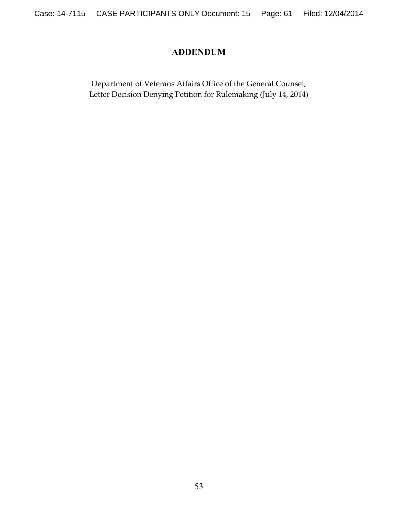## **ADDENDUM**

Department of Veterans Affairs Office of the General Counsel, Letter Decision Denying Petition for Rulemaking (July 14, 2014)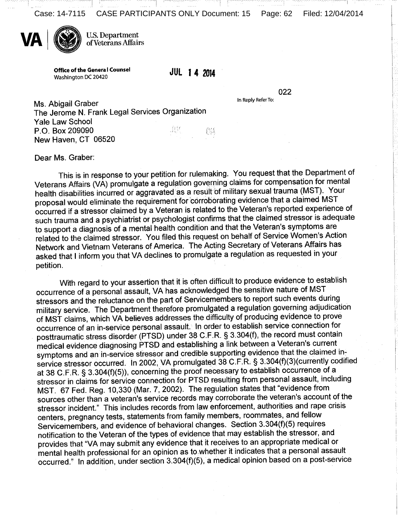Case: 14-7115 CASE PARTICIPANTS ONLY Document: 15 Page: 62 Filed: 12/04/2014



**U.S. Department** of Veterans Affairs

**Office of the General Counsel** Washington DC 20420

**JUL 14 2014** 

022

In Reply Refer To:

Ms. Abigail Graber The Jerome N. Frank Legal Services Organization **Yale Law School** UIF. P.O. Box 209090 05 New Haven, CT 06520

Dear Ms. Graber:

This is in response to your petition for rulemaking. You request that the Department of Veterans Affairs (VA) promulgate a regulation governing claims for compensation for mental health disabilities incurred or aggravated as a result of military sexual trauma (MST). Your proposal would eliminate the requirement for corroborating evidence that a claimed MST occurred if a stressor claimed by a Veteran is related to the Veteran's reported experience of such trauma and a psychiatrist or psychologist confirms that the claimed stressor is adequate to support a diagnosis of a mental health condition and that the Veteran's symptoms are related to the claimed stressor. You filed this request on behalf of Service Women's Action Network and Vietnam Veterans of America. The Acting Secretary of Veterans Affairs has asked that I inform you that VA declines to promulgate a regulation as requested in your petition.

With regard to your assertion that it is often difficult to produce evidence to establish occurrence of a personal assault, VA has acknowledged the sensitive nature of MST stressors and the reluctance on the part of Servicemembers to report such events during military service. The Department therefore promulgated a regulation governing adjudication of MST claims, which VA believes addresses the difficulty of producing evidence to prove or MST claims, which VA believes dual essess are almostly or processes connection for posttraumatic stress disorder (PTSD) under 38 C.F.R. § 3.304(f), the record must contain medical evidence diagnosing PTSD and establishing a link between a Veteran's current symptoms and an in-service stressor and credible supporting evidence that the claimed insymptoms and an in-service success and creative expressions of 23.304(f)(3)(currently codified at 38 C.F.R. § 3.304(f)(5)), concerning the proof necessary to establish occurrence of a stressor in claims for service connection for PTSD resulting from personal assault, including MST. 67 Fed. Reg. 10,330 (Mar. 7, 2002). The regulation states that "evidence from sources other than a veteran's service records may corroborate the veteran's account of the stressor incident." This includes records from law enforcement, authorities and rape crisis centers, pregnancy tests, statements from family members, roommates, and fellow Servicemembers, and evidence of behavioral changes. Section 3.304(f)(5) requires notification to the Veteran of the types of evidence that may establish the stressor, and provides that "VA may submit any evidence that it receives to an appropriate medical or mental health professional for an opinion as to whether it indicates that a personal assault occurred." In addition, under section 3.304(f)(5), a medical opinion based on a post-service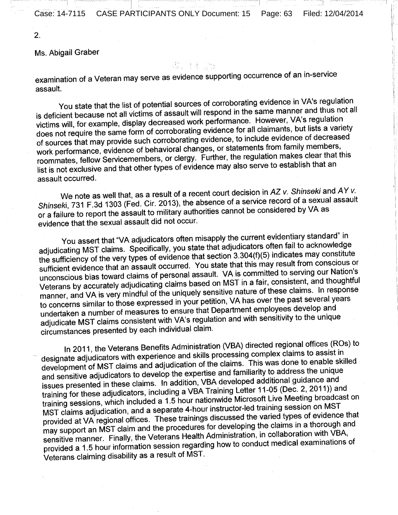Case: 14-7115 CASE PARTICIPANTS ONLY Document: 15 Page: 63 Filed: 12/04/2014

 $2.$ 

Ms. Abigail Graber

#### 좀 좀.

examination of a Veteran may serve as evidence supporting occurrence of an in-service assault.

You state that the list of potential sources of corroborating evidence in VA's regulation You state that the list of potential sources of corrobotating cylactics in the regard<br>is deficient because not all victims of assault will respond in the same manner and thus not all is deficient because not all victims of assault will respond in the came manner and contained<br>victims will, for example, display decreased work performance. However, VA's regulation victims will, for example, display decreased work performance. However, the regimental<br>does not require the same form of corroborating evidence for all claimants, but lists a variety does not require the same form of corroborating evidence for all claims from family.<br>The sources that may provide such corroborating evidence, to include evidence of decreased of sources that may provide such conobotating evidence, to measure change in a maily members,<br>work performance, evidence of behavioral changes, or statements from family members, work performance, evidence or performational changes, or statements near failing the<br>roommates, fellow Servicemembers, or clergy. Further, the regulation makes clear that this roommates, fellow Servicemembers, or clergy. Turner, the regulation makes of an analysis field. assault occurred.

We note as well that, as a result of a recent court decision in  $AZ$  v. Shinseki and  $AY$  v. We note as well that, as a result of a recent court decision in the vision and consider the Shinseki, 731 F.3d 1303 (Fed. Cir. 2013), the absence of a service record of a sexual assault Shinseki, 731 F.3d 1303 (Fed. Cir. 2015), the absence of a service receive of a service<br>or a failure to report the assault to military authorities cannot be considered by VA as evidence that the sexual assault did not occur.

You assert that "VA adjudicators often misapply the current evidentiary standard" in You assert that "VA adjudicators often misapply the current evidence."<br>adjudicating MST claims. Specifically, you state that adjudicators often fail to acknowledge adjudicating MST claims. Specifically, you state that adjudicators offer rail to account the<br>the sufficiency of the very types of evidence that section 3.304(f)(5) indicates may constitute the sufficiency of the very types or evidence that section 3.504(1)(5) indicated that year that set<br>sufficient evidence that an assault occurred. You state that this may result from conscious or sufficient evidence that an assault occurred. Tou state that this may result held convenience.<br>unconscious bias toward claims of personal assault. VA is committed to serving our Nation's unconscious bias toward claims or personal assault. VA is committed to corring the Veterans by accurately adjudicating claims based on MST in a fair, consistent, and thoughtful<br>Veterans by accurately adjudicating claims ba Veterans by accurately adjudicating claims based on MST in a fail, concludedly, allowing<br>manner, and VA is very mindful of the uniquely sensitive nature of these claims. In response manner, and VA is very minutul of the uniquely sensitive haller of these stamps.<br>to concerns similar to those expressed in your petition, VA has over the past several years to concerns similar to those expressed in your perman, with sometime part<br>undertaken a number of measures to ensure that Department employees develop and undertaken a number of measures to ensure that bepartment employees are the unique<br>adjudicate MST claims consistent with VA's regulation and with sensitivity to the unique digital educate with claims concluded that the circumstances presented by each individual claim.

In 2011, the Veterans Benefits Administration (VBA) directed regional offices (ROs) to In 2011, the Veterans Beneits Administration (VBA) directed regional experience.<br>In assist in designate adjudicators with experience and skills processing complex claims to assist in designate adjudicators with experience and skills processing complex stamps to accept the<br>development of MST claims and adjudication of the claims. This was done to enable skilled development of MS1 claims and adjudication of the claims. This that active the unique<br>and sensitive adjudicators to develop the expertise and familiarity to address the unique and sensitive adjudicators to develop the experience and familiarity to develope and<br>issues presented in these claims. In addition, VBA developed additional guidance and<br>the same of the Training Letter 11-05 (Dec. 2, 2011) issues presented in these claims. In addition, VBA developed dealitional generators, including a VBA Training Letter 11-05 (Dec. 2, 2011)) and<br>training for these adjudicators, including a VBA Training Letter 11-05 (Dec. 2, training for these adjudicators, including a vBA Training Ection 11 co (Bost 2, 2007),<br>training sessions, which included a 1.5 hour nationwide Microsoft Live Meeting broadcast on training sessions, which included a 1.5 hour handliwide microsoft End moderning<br>MST claims adjudication, and a separate 4-hour instructor-led training session on MST MST claims adjudication, and a separate 4-nour instructor-lea training exercic evidence that<br>provided at VA regional offices. These trainings discussed the varied types of evidence that provided at VA regional offices. These trainings discussed the various species compared and<br>may support an MST claim and the procedures for developing the claims in a thorough and may support an MST claim and the procedures for developing the blamb in a more of the sensitive manner. Finally, the Veterans Health Administration, in collaboration with VBA, sensitive manner. Finally, the Veterans Health Administration, in conductionally finally provided a 1.5 hour information session regarding how to conduct medical examinations of Diovided a 1.5 hour information second of MST.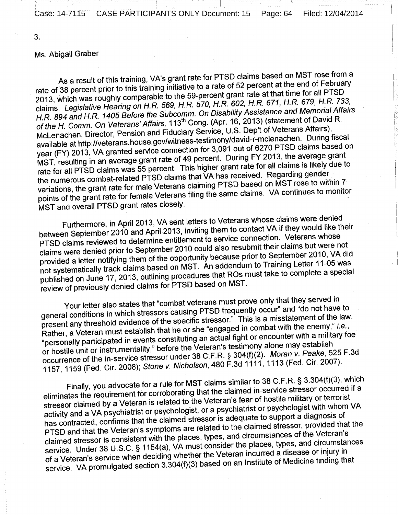Case: 14-7115 CASE PARTICIPANTS ONLY Document: 15 Page: 64 Filed: 12/04/2014

 $3.$ 

#### Ms. Abigail Graber

As a result of this training, VA's grant rate for PTSD claims based on MST rose from a As a result of this training, VA's grant rate for FTOD claims based on the FR hebruary<br>rate of 38 percent prior to this training initiative to a rate of 52 percent at the end of February rate of 38 percent prior to this training initiative to a rate of 52 persons at the small PTSD<br>2013, which was roughly comparable to the 59-percent grant rate at that time for all PTSD<br>2013, which was roughly comparable t 2013, which was roughly comparable to the 59-percent grant rate at that three responses.<br>claims. Legislative Hearing on H.R. 569, H.R. 570, H.R. 602, H.R. 671, H.R. 679, H.R. 733, claims. Legislative Hearing on H.R. 569, H.R. 570, H.R. 602, H.R. 611, H.R. 676, H.R. 676, H.<br>H.R. 894 and H.R. 1405 Before the Subcomm. On Disability Assistance and Memorial Affairs<br>Affaire 113<sup>th</sup> Cong. (Apr. 16, 2013) ( H.R. 894 and H.R. 1405 Before the Subcomm. On Disability Assistance and Momental Payer.<br>of the H. Comm. On Veterans' Affairs, 113<sup>th</sup> Cong. (Apr. 16, 2013) (statement of David R.<br>Fitterians Continues 11.8. Depth of Veteran of the H. Comm. On Veterans' Affairs, 113 Cong. (Apr. 10, 2010) (Succession.)<br>McLenachen, Director, Pension and Fiduciary Service, U.S. Dep't of Veterans Affairs), McLenachen, Director, Pension and Fluuciary Service, 0.5. Dept of vectoral examples,<br>available at http://veterans.house.gov/witness-testimony/david-r-mclenachen. During fiscal<br>available at http://veterans.house.gov/witness available at http://veterans.house.gov/witness-testimony/david-influencement is also<br>year (FY) 2013, VA granted service connection for 3,091 out of 6270 PTSD claims based on<br>the average grant year (FY) 2013, VA granted service connection for 3,091 out of 3278 F 188 Station and<br>MST, resulting in an average grant rate of 49 percent. During FY 2013, the average grant<br>This bigher grant rate for all claims is likely MST, resulting in an average grant rate or 49 percent. During 1.1 2010, the average grant<br>rate for all PTSD claims was 55 percent. This higher grant rate for all claims is likely due to rate for all PTSD claims was 55 percent. This higher grant rate for all examples the numerous combat-related PTSD claims that VA has received. Regarding gender the numerous combat-related PTSD claims that VA has received. Regarding generally<br>variations, the grant rate for male Veterans claiming PTSD based on MST rose to within 7 variations, the grant rate for male veterally claiming in the backular with the continues to monitor<br>points of the grant rate for female Veterans filing the same claims. VA continues to monitor MST and overall PTSD grant rates closely.

Furthermore, in April 2013, VA sent letters to Veterans whose claims were denied Furthermore, in April 2013, VA sent letters to veterally whose staff with the two servers between September 2010 and April 2013, inviting them to contact VA if they would like their<br>between September 2010 and April 2013, i between September 2010 and April 2013, inviting them to contact with they treated<br>PTSD claims reviewed to determine entitlement to service connection. Veterans whose PTSD claims reviewed to determine entitierment to service component. There are<br>claims were denied prior to September 2010 could also resubmit their claims but were not<br>claims were denied prior to September 2010. VA div claims were denied prior to September 2010 could also resubitive them claims but there is<br>provided a letter notifying them of the opportunity because prior to September 2010, VA did<br>provided a letter notifying the shaped a provided a letter notifying them of the opportunity because prior to september 2011-05 was<br>not systematically track claims based on MST. An addendum to Training Letter 11-05 was not systematically track claims based on MST. An addentition raining Ection 11 october.<br>published on June 17, 2013, outlining procedures that ROs must take to complete a special published on June 17, 2015, butting procedured on MST.

Your letter also states that "combat veterans must prove only that they served in<br>PECD frequently occur" and "do not have Your letter also states that "compat veterally must prove only that they contrined<br>general conditions in which stressors causing PTSD frequently occur" and "do not have to general conditions in which stressors causing ribble declinity cool. This is a misstatement of the law.<br>present any threshold evidence of the specific stressor." This is a misstatement of the law. present any threshold evidence or the specific stressor. This is a measurement any threshold evidence or the specific stressor. This is a measurement," i.e.,<br>Rather, a Veteran must establish that he or she "engaged in comb Rather, a Veteran must establish that he or she engaged in comparements of a military foe<br>"personally participated in events constituting an actual fight or encounter with a military foe "personally participated in events constituting an actual hymerical choice that will be personally participated in events constituting an actual hymerical constablish or hostile unit or instrumentality," before the Veteran or hostile unit or instrumentality," before the veteral is testimony along that year...............<br>occurrence of the in-service stressor under 38 C.F.R. § 304(f)(2). Moran v. Peake, 525 F.3d<br>occurrence of the in-service s occurrence of the in-service stressor under 36 C.F.R. § 304(1)(2). Moran Williams, 2007).<br>1157, 1159 (Fed. Cir. 2008); Stone v. Nicholson, 480 F.3d 1111, 1113 (Fed. Cir. 2007).

Finally, you advocate for a rule for MST claims similar to 38 C.F.R. § 3.304(f)(3), which Finally, you advocate for a rule for MST claims similar to 36 C.I. IN: y 0.00-(1, 0), there<br>eliminates the requirement for corroborating that the claimed in-service stressor occurred if a<br>selected to the Veteran's fear of eliminates the requirement for corroborating that the claimed in Scribs Street.<br>Stressor claimed by a Veteran is related to the Veteran's fear of hostile military or terrorist stressor claimed by a Veteran is related to the veteral is real of hostic minimal, with whom VA activity and a VA psychiatrist or psychologist, or a psychiatrist or psychologist with whom VA activity and a VA psychiatrist or psychologist, or a psychiatrist or psychological manner.<br>has contracted, confirms that the claimed stressor is adequate to support a diagnosis of has contracted, confirms that the claimed stressor is adequate to support a diagnosis has contracted, confirms that the claimed stressor, provided that the PTSD and that the Veteran's symptoms are related to the claimed st PTSD and that the Veteran's symptoms are related to the claimed stressor, previously<br>claimed stressor is consistent with the places, types, and circumstances of the Veteran's<br>claimed stressor is consistent with the places claimed stressor is consistent with the places, types, and circumstances of the vecessity<br>service. Under 38 U.S.C. § 1154(a), VA must consider the places, types, and circumstances service. Under 38 U.S.C. § 1154(a), VA must consider the places, spee, and sense or injury in<br>of a Veteran's service when deciding whether the Veteran incurred a disease or injury in of a Veteran's service when deciding whether the Veteran incurred a discussed of highly in-<br>service. VA promulgated section 3.304(f)(3) based on an Institute of Medicine finding that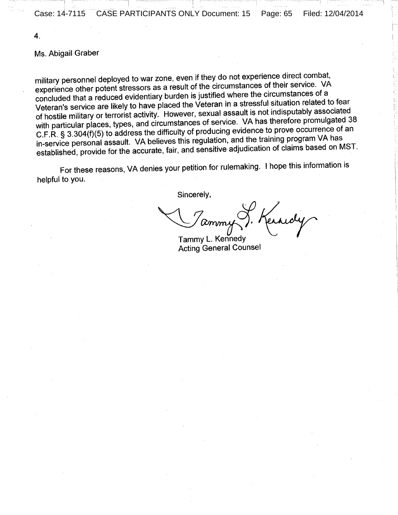4.

#### Ms. Abigail Graber

military personnel deployed to war zone, even if they do not experience direct combat, experience other potent stressors as a result of the circumstances of their service. VA<br>experience other potent stressors as a result of the circumstances of their service. VA experience other potent stressors as a result of the original metal-<br>concluded that a reduced evidentiary burden is justified where the circumstances of a concluded that a request evidentiary builders is justified where the cheminimal related to fear<br>Veteran's service are likely to have placed the Veteran in a stressful situation related to fear Veteran's service are likely to have placed the veteral in a substantially related to<br>of hostile military or terrorist activity. However, sexual assault is not indisputably associated<br>metapooe of service. VA has therefore of hostile military or terrorist activity. However, sexual assume is not man-particulary of<br>with particular places, types, and circumstances of service. VA has therefore promulgated 38 with particular places, types, and circumstances of service. Within a first the procurrence of an<br>C.F.R. § 3.304(f)(5) to address the difficulty of producing evidence to prove occurrence of an C.F.R. § 3.304(1)(5) to address the difficulty of producing strashed by Program VA has<br>in-service personal assault. VA believes this regulation, and the training program VA has in-service personal assault. VA believes this regulation, and the training programs based on MST.<br>established, provide for the accurate, fair, and sensitive adjudication of claims based on MST.

For these reasons, VA denies your petition for rulemaking. I hope this information is helpful to you.

Sincerely,

erndy <u>amm</u> Tammy L. Kennedy

Acting General Counsel